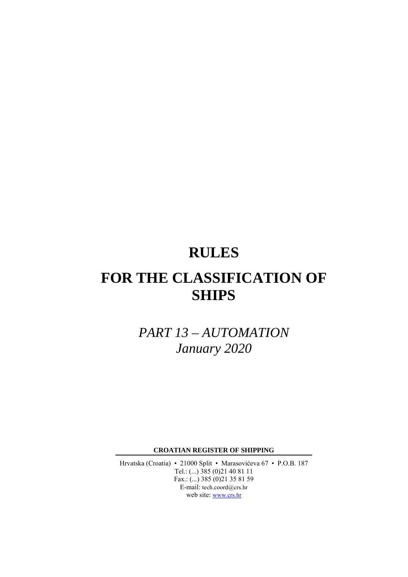# **RULES**

# **FOR THE CLASSIFICATION OF SHIPS**

*PART 13 – AUTOMATION January 2020* 

**CROATIAN REGISTER OF SHIPPING** 

Hrvatska (Croatia) • 21000 Split • Marasovićeva 67 • P.O.B. 187 Tel.: (...) 385 (0)21 40 81 11 Fax.: (...) 385 (0)21 35 81 59 E-mail: tech.coord@crs.hr web site: www.crs.hr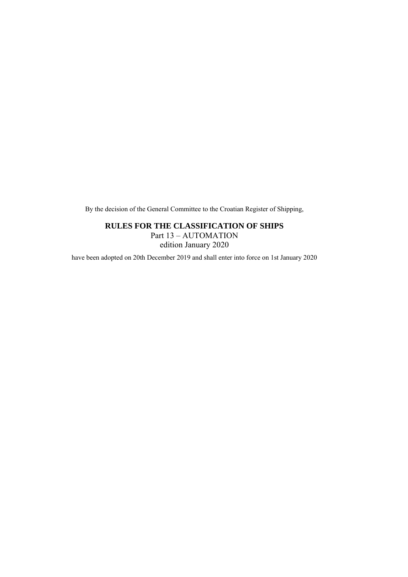By the decision of the General Committee to the Croatian Register of Shipping,

### **RULES FOR THE CLASSIFICATION OF SHIPS**

Part 13 – AUTOMATION edition January 2020

have been adopted on 20th December 2019 and shall enter into force on 1st January 2020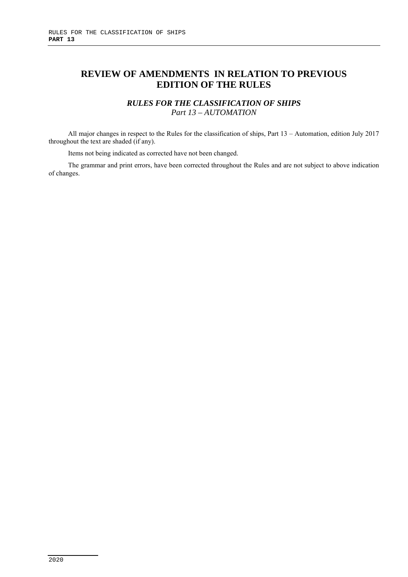# **REVIEW OF AMENDMENTS IN RELATION TO PREVIOUS EDITION OF THE RULES**

## *RULES FOR THE CLASSIFICATION OF SHIPS Part 13 – AUTOMATION*

All major changes in respect to the Rules for the classification of ships, Part 13 – Automation, edition July 2017 throughout the text are shaded (if any).

Items not being indicated as corrected have not been changed.

The grammar and print errors, have been corrected throughout the Rules and are not subject to above indication of changes.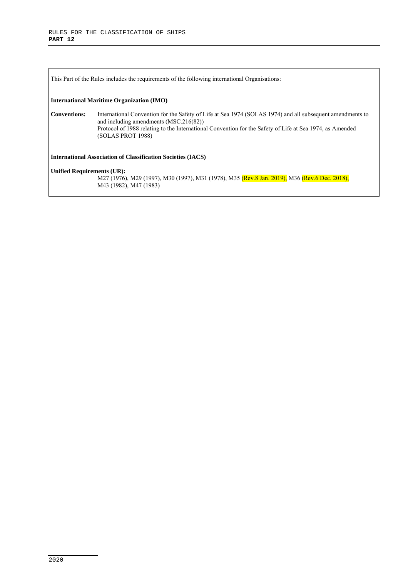This Part of the Rules includes the requirements of the following international Organisations: **International Maritime Organization (IMO) Conventions:** International Convention for the Safety of Life at Sea 1974 (SOLAS 1974) and all subsequent amendments to and including amendments (MSC.216(82)) Protocol of 1988 relating to the International Convention for the Safety of Life at Sea 1974, as Amended (SOLAS PROT 1988) **International Association of Classification Societies (IACS) Unified Requirements (UR):**  M27 (1976), M29 (1997), M30 (1997), M31 (1978), M35 (Rev.8 Jan. 2019), M36 (Rev.6 Dec. 2018), M43 (1982), M47 (1983)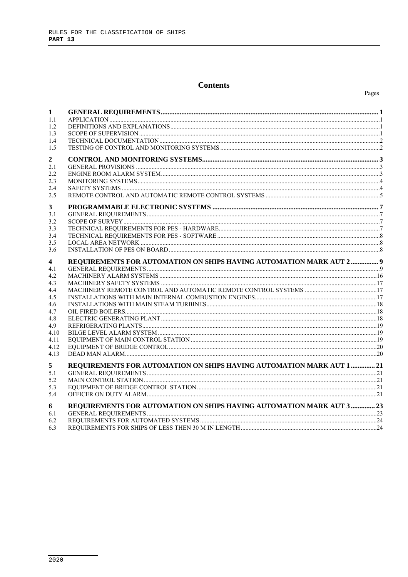#### **Contents**

| 1<br>1.1<br>1.2<br>1.3<br>1.4<br>1.5                                                             |                                                                       |  |
|--------------------------------------------------------------------------------------------------|-----------------------------------------------------------------------|--|
| 2<br>2.1<br>2.2<br>2.3<br>2.4<br>2.5                                                             |                                                                       |  |
| 3<br>3.1<br>3.2<br>3.3<br>3.4<br>3.5<br>3.6                                                      |                                                                       |  |
| 4<br>4.1<br>4.2<br>4.3<br>4.4<br>4.5<br>4.6<br>4.7<br>4.8<br>4.9<br>4.10<br>4.11<br>4.12<br>4.13 | REQUIREMENTS FOR AUTOMATION ON SHIPS HAVING AUTOMATION MARK AUT 2 9   |  |
| 5<br>5.1<br>5.2<br>5.3<br>5.4                                                                    | REQUIREMENTS FOR AUTOMATION ON SHIPS HAVING AUTOMATION MARK AUT 1  21 |  |
| 6<br>6.1<br>6.2<br>6.3                                                                           | REQUIREMENTS FOR AUTOMATION ON SHIPS HAVING AUTOMATION MARK AUT 3  23 |  |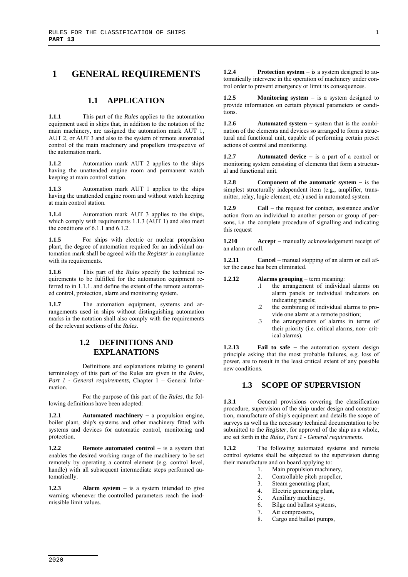## **1 GENERAL REQUIREMENTS**

#### **1.1 APPLICATION**

**1.1.1** This part of the *Rules* applies to the automation equipment used in ships that, in addition to the notation of the main machinery, are assigned the automation mark AUT 1, AUT 2, or AUT 3 and also to the system of remote automated control of the main machinery and propellers irrespective of the automation mark.

**1.1.2** • Automation mark AUT 2 applies to the ships having the unattended engine room and permanent watch keeping at main control station.

**1.1.3** Automation mark AUT 1 applies to the ships having the unattended engine room and without watch keeping at main control station.

**1.1.4** • Automation mark AUT 3 applies to the ships, which comply with requirements  $1.1.3$  (AUT 1) and also meet the conditions of 6.1.1 and 6.1.2.

1.1.5 **For ships with electric or nuclear propulsion** plant, the degree of automation required for an individual automation mark shall be agreed with the *Register* in compliance with its requirements.

**1.1.6** This part of the *Rules* specify the technical requirements to be fulfilled for the automation equipment referred to in 1.1.1. and define the extent of the remote automated control, protection, alarm and monitoring system.

**1.1.7** The automation equipment, systems and arrangements used in ships without distinguishing automation marks in the notation shall also comply with the requirements of the relevant sections of the *Rules*.

#### **1.2 DEFINITIONS AND EXPLANATIONS**

Definitions and explanations relating to general terminology of this part of the Rules are given in the *Rules, Part 1 - General requirements,* Chapter 1 – General Information.

For the purpose of this part of the *Rules*, the following definitions have been adopted:

**Automated machinery**  $-$  a propulsion engine, boiler plant, ship's systems and other machinery fitted with systems and devices for automatic control, monitoring and protection.

**1.2.2 Remote automated control** – is a system that enables the desired working range of the machinery to be set remotely by operating a control element (e.g. control level, handle) with all subsequent intermediate steps performed automatically.

**1.2.3 Alarm system** – is a system intended to give warning whenever the controlled parameters reach the inadmissible limit values.

**1.2.4** Protection system – is a system designed to automatically intervene in the operation of machinery under control order to prevent emergency or limit its consequences.

**1.2.5 Monitoring system** – is a system designed to provide information on certain physical parameters or conditions.

**1.2.6** Automated system – system that is the combination of the elements and devices so arranged to form a structural and functional unit, capable of performing certain preset actions of control and monitoring.

**1.2.7 Automated device** – is a part of a control or monitoring system consisting of elements that form a structural and functional unit.

**1.2.8** Component of the automatic system – is the simplest structurally independent item (e.g., amplifier, transmitter, relay, logic element, etc.) used in automated system.

**1.2.9** Call – the request for contact, assistance and/or action from an individual to another person or group of persons, i.e. the complete procedure of signalling and indicating this request

**1.210** Accept – manually acknowledgement receipt of an alarm or call.

**1.2.11 Cancel** – manual stopping of an alarm or call after the cause has been eliminated.

#### **1.2.12 Alarms grouping** – term meaning:

- .1 the arrangement of individual alarms on alarm panels or individual indicators on indicating panels;
- .2 the combining of individual alarms to provide one alarm at a remote position;
- .3 the arrangements of alarms in terms of their priority (i.e. critical alarms, non- critical alarms).

**1.2.13** Fail to safe – the automation system design principle asking that the most probable failures, e.g. loss of power, are to result in the least critical extent of any possible new conditions.

#### **1.3 SCOPE OF SUPERVISION**

1.3.1 General provisions covering the classification procedure, supervision of the ship under design and construction, manufacture of ship's equipment and details the scope of surveys as well as the necessary technical documentation to be submitted to the *Register*, for approval of the ship as a whole, are set forth in the *Rules*, *Part 1 - General requirements*.

**1.3.2** The following automated systems and remote control systems shall be subjected to the supervision during their manufacture and on board applying to:

- 1. Main propulsion machinery,
- 2. Controllable pitch propeller,
- 3. Steam generating plant,
- 4. Electric generating plant,
- 5. Auxiliary machinery,
- 6. Bilge and ballast systems,
- 7. Air compressors,
- 8. Cargo and ballast pumps,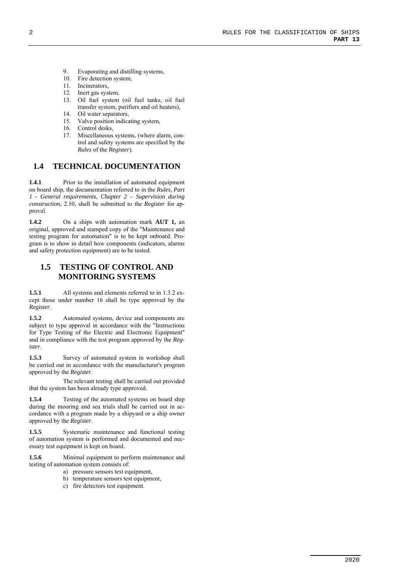- 9. Evaporating and distilling systems,
- 10. Fire detection system,
- 
- 11. Incinerators,<br>12. Inert gas syst Inert gas system,
- 13. Oil fuel system (oil fuel tanks, oil fuel transfer system, purifiers and oil heaters),
- 14. Oil water separators,
- 15. Valve position indicating system,
- 16. Control desks,
- 17. Miscellaneous systems, (where alarm, control and safety systems are specified by the *Rules* of the *Register*).

#### **1.4 TECHNICAL DOCUMENTATION**

**1.4.1** Prior to the installation of automated equipment on board ship, the documentation referred to in the *Rules, Part 1 - General requirements, Chapter 2 – Supervision during construction*, 2.10, shall be submitted to the *Register* for approval.

**1.4.2** On a ships with automation mark **AUT 1,** an original, approved and stamped copy of the "Maintenance and testing program for automation" is to be kept onboard. Program is to show in detail how components (indicators, alarms and safety protection equipment) are to be tested.

## **1.5 TESTING OF CONTROL AND MONITORING SYSTEMS**

**1.5.1** All systems and elements referred to in 1.3.2 except those under number 16 shall be type approved by the *Register*.

**1.5.2** Automated systems, device and components are subject to type approval in accordance with the "Instructions for Type Testing of the Electric and Electronic Equipment" and in compliance with the test program approved by the *Register*.

1.5.3 Survey of automated system in workshop shall be carried out in accordance with the manufacturer's program approved by the *Register*.

The relevant testing shall be carried out provided that the system has been already type approved.

**1.5.4** Testing of the automated systems on board ship during the mooring and sea trials shall be carried out in accordance with a program made by a shipyard or a ship owner approved by the *Register*.

**1.5.5** Systematic maintenance and functional testing of automation system is performed and documented and necessary test equipment is kept on board.

**1.5.6** Minimal equipment to perform maintenance and testing of automation system consists of:

- a) pressure sensors test equipment,
- b) temperature sensors test equipment,
- c) fire detectors test equipment.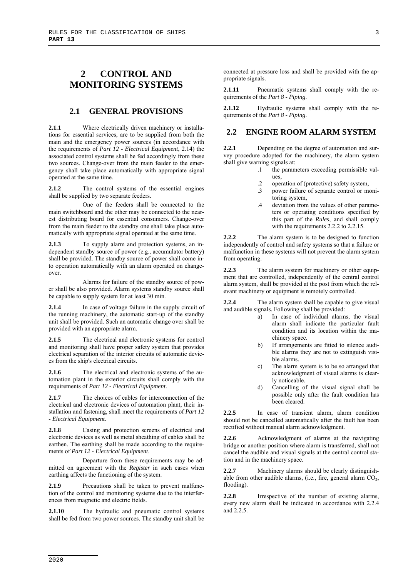# **2 CONTROL AND MONITORING SYSTEMS**

#### **2.1 GENERAL PROVISIONS**

**2.1.1** Where electrically driven machinery or installations for essential services, are to be supplied from both the main and the emergency power sources (in accordance with the requirements of *Part 12 - Electrical Equipment*, 2.14) the associated control systems shall be fed accordingly from these two sources. Change-over from the main feeder to the emergency shall take place automatically with appropriate signal operated at the same time.

**2.1.2** The control systems of the essential engines shall be supplied by two separate feeders.

One of the feeders shall be connected to the main switchboard and the other may be connected to the nearest distributing board for essential consumers. Change-over from the main feeder to the standby one shall take place automatically with appropriate signal operated at the same time.

**2.1.3** To supply alarm and protection systems, an independent standby source of power (e.g., accumulator battery) shall be provided. The standby source of power shall come into operation automatically with an alarm operated on changeover.

Alarms for failure of the standby source of power shall be also provided. Alarm systems standby source shall be capable to supply system for at least 30 min.

**2.1.4** In case of voltage failure in the supply circuit of the running machinery, the automatic start-up of the standby unit shall be provided. Such an automatic change over shall be provided with an appropriate alarm.

**2.1.5** The electrical and electronic systems for control and monitoring shall have proper safety system that provides electrical separation of the interior circuits of automatic devices from the ship's electrical circuits.

**2.1.6** The electrical and electronic systems of the automation plant in the exterior circuits shall comply with the requirements of *Part 12 - Electrical Equipment*.

**2.1.7** The choices of cables for interconnection of the electrical and electronic devices of automation plant, their installation and fastening, shall meet the requirements of *Part 12 - Electrical Equipment*.

**2.1.8** Casing and protection screens of electrical and electronic devices as well as metal sheathing of cables shall be earthen. The earthing shall be made according to the requirements of *Part 12 - Electrical Equipment*.

Departure from these requirements may be admitted on agreement with the *Register* in such cases when earthing affects the functioning of the system.

**2.1.9** Precautions shall be taken to prevent malfunction of the control and monitoring systems due to the interferences from magnetic and electric fields.

2.1.10 The hydraulic and pneumatic control systems shall be fed from two power sources. The standby unit shall be connected at pressure loss and shall be provided with the appropriate signals.

2.1.11 Pneumatic systems shall comply with the requirements of the *Part 8 - Piping*.

**2.1.12** Hydraulic systems shall comply with the requirements of the *Part 8 - Piping*.

#### **2.2 ENGINE ROOM ALARM SYSTEM**

**2.2.1** Depending on the degree of automation and survey procedure adopted for the machinery, the alarm system shall give warning signals at:

- .1 the parameters exceeding permissible values,
- .2 operation of (protective) safety system,
- .3 power failure of separate control or monitoring system,
- .4 deviation from the values of other parameters or operating conditions specified by this part of the *Rules*, and shall comply with the requirements 2.2.2 to 2.2.15.

**2.2.2** The alarm system is to be designed to function independently of control and safety systems so that a failure or malfunction in these systems will not prevent the alarm system from operating.

**2.2.3** The alarm system for machinery or other equipment that are controlled, independently of the central control alarm system, shall be provided at the post from which the relevant machinery or equipment is remotely controlled.

**2.2.4** The alarm system shall be capable to give visual and audible signals. Following shall be provided:

- a) In case of individual alarms, the visual alarm shall indicate the particular fault condition and its location within the machinery space.
- b) If arrangements are fitted to silence audible alarms they are not to extinguish visible alarms.
- c) The alarm system is to be so arranged that acknowledgment of visual alarms is clearly noticeable.
- d) Cancelling of the visual signal shall be possible only after the fault condition has been cleared.

**2.2.5** In case of transient alarm, alarm condition should not be cancelled automatically after the fault has been rectified without manual alarm acknowledgment.

**2.2.6** Acknowledgment of alarms at the navigating bridge or another position where alarm is transferred, shall not cancel the audible and visual signals at the central control station and in the machinery space.

**2.2.7** Machinery alarms should be clearly distinguishable from other audible alarms, (i.e., fire, general alarm  $CO<sub>2</sub>$ , flooding).

**2.2.8** Irrespective of the number of existing alarms, every new alarm shall be indicated in accordance with 2.2.4 and 2.2.5.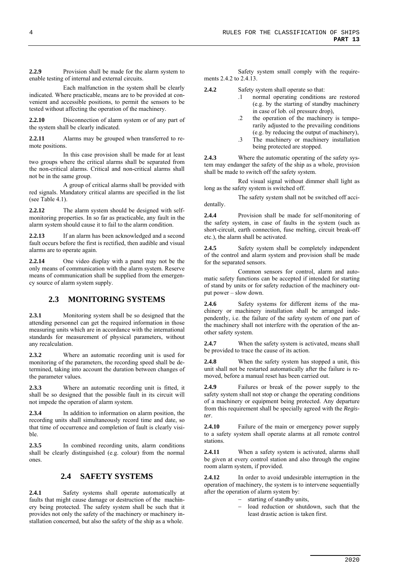**2.2.9** Provision shall be made for the alarm system to enable testing of internal and external circuits.

Each malfunction in the system shall be clearly indicated. Where practicable, means are to be provided at convenient and accessible positions, to permit the sensors to be tested without affecting the operation of the machinery.

**2.2.10** Disconnection of alarm system or of any part of the system shall be clearly indicated.

**2.2.11** Alarms may be grouped when transferred to remote positions.

In this case provision shall be made for at least two groups where the critical alarms shall be separated from the non-critical alarms. Critical and non-critical alarms shall not be in the same group.

A group of critical alarms shall be provided with red signals. Mandatory critical alarms are specified in the list (see Table 4.1).

**2.2.12** The alarm system should be designed with selfmonitoring properties. In so far as practicable, any fault in the alarm system should cause it to fail to the alarm condition.

**2.2.13** If an alarm has been acknowledged and a second fault occurs before the first is rectified, then audible and visual alarms are to operate again.

**2.2.14** One video display with a panel may not be the only means of communication with the alarm system. Reserve means of communication shall be supplied from the emergency source of alarm system supply.

#### **2.3 MONITORING SYSTEMS**

**2.3.1** Monitoring system shall be so designed that the attending personnel can get the required information in those measuring units which are in accordance with the international standards for measurement of physical parameters, without any recalculation.

**2.3.2** Where an automatic recording unit is used for monitoring of the parameters, the recording speed shall be determined, taking into account the duration between changes of the parameter values.

**2.3.3** Where an automatic recording unit is fitted, it shall be so designed that the possible fault in its circuit will not impede the operation of alarm system.

**2.3.4** In addition to information on alarm position, the recording units shall simultaneously record time and date, so that time of occurrence and completion of fault is clearly visible.

**2.3.5** In combined recording units, alarm conditions shall be clearly distinguished (e.g. colour) from the normal ones.

#### **2.4 SAFETY SYSTEMS**

2.4.1 Safety systems shall operate automatically at faults that might cause damage or destruction of the machinery being protected. The safety system shall be such that it provides not only the safety of the machinery or machinery installation concerned, but also the safety of the ship as a whole.

Safety system small comply with the requirements 2.4.2 to 2.4.13.

**2.4.2** Safety system shall operate so that:

- normal operating conditions are restored (e.g. by the starting of standby machinery in case of lob. oil pressure drop),
- .2 the operation of the machinery is temporarily adjusted to the prevailing conditions (e.g. by reducing the output of machinery),
- .3 The machinery or machinery installation being protected are stopped.

**2.4.3** Where the automatic operating of the safety system may endanger the safety of the ship as a whole, provision shall be made to switch off the safety system.

Red visual signal without dimmer shall light as long as the safety system is switched off.

The safety system shall not be switched off accidentally.

**2.4.4** Provision shall be made for self-monitoring of the safety system, in case of faults in the system (such as short-circuit, earth connection, fuse melting, circuit break-off etc.), the alarm shall be activated.

2.4.5 Safety system shall be completely independent of the control and alarm system and provision shall be made for the separated sensors.

Common sensors for control, alarm and automatic safety functions can be accepted if intended for starting of stand by units or for safety reduction of the machinery output power – slow down.

2.4.6 Safety systems for different items of the machinery or machinery installation shall be arranged independently, i.e. the failure of the safety system of one part of the machinery shall not interfere with the operation of the another safety system.

**2.4.7** When the safety system is activated, means shall be provided to trace the cause of its action.

**2.4.8** When the safety system has stopped a unit, this unit shall not be restarted automatically after the failure is removed, before a manual reset has been carried out.

**2.4.9** Failures or break of the power supply to the safety system shall not stop or change the operating conditions of a machinery or equipment being protected. Any departure from this requirement shall be specially agreed with the *Register*.

**2.4.10** Failure of the main or emergency power supply to a safety system shall operate alarms at all remote control stations.

**2.4.11** When a safety system is activated, alarms shall be given at every control station and also through the engine room alarm system, if provided.

**2.4.12** In order to avoid undesirable interruption in the operation of machinery, the system is to intervene sequentially after the operation of alarm system by:

- starting of standby units,
- load reduction or shutdown, such that the least drastic action is taken first.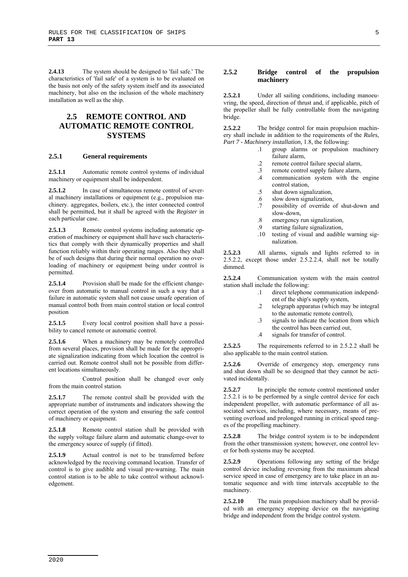**2.4.13** The system should be designed to 'fail safe.' The characteristics of 'fail safe' of a system is to be evaluated on the basis not only of the safety system itself and its associated machinery, but also on the inclusion of the whole machinery installation as well as the ship.

## **2.5 REMOTE CONTROL AND AUTOMATIC REMOTE CONTROL SYSTEMS**

#### **2.5.1 General requirements**

**2.5.1.1** Automatic remote control systems of individual machinery or equipment shall be independent.

2.5.1.2 In case of simultaneous remote control of several machinery installations or equipment (e.g., propulsion machinery. aggregates, boilers, etc.), the inter connected control shall be permitted, but it shall be agreed with the *Register* in each particular case.

2.5.1.3 Remote control systems including automatic operation of machinery or equipment shall have such characteristics that comply with their dynamically properties and shall function reliably within their operating ranges. Also they shall be of such designs that during their normal operation no overloading of machinery or equipment being under control is permitted.

**2.5.1.4** Provision shall be made for the efficient changeover from automatic to manual control in such a way that a failure in automatic system shall not cause unsafe operation of manual control both from main control station or local control position

**2.5.1.5** Every local control position shall have a possibility to cancel remote or automatic control.

**2.5.1.6** When a machinery may be remotely controlled from several places, provision shall be made for the appropriate signalization indicating from which location the control is carried out. Remote control shall not be possible from different locations simultaneously.

Control position shall be changed over only from the main control station.

**2.5.1.7** The remote control shall be provided with the appropriate number of instruments and indicators showing the correct operation of the system and ensuring the safe control of machinery or equipment.

**2.5.1.8** Remote control station shall be provided with the supply voltage failure alarm and automatic change-over to the emergency source of supply (if fitted).

2.5.1.9 Actual control is not to be transferred before acknowledged by the receiving command location. Transfer of control is to give audible and visual pre-warning. The main control station is to be able to take control without acknowledgement.

#### **2.5.2 Bridge control of the propulsion machinery**

**2.5.2.1** Under all sailing conditions, including manoeuvring, the speed, direction of thrust and, if applicable, pitch of the propeller shall be fully controllable from the navigating bridge.

**2.5.2.2** The bridge control for main propulsion machinery shall include in addition to the requirements of the *Rules*, *Part 7 - Machinery installation,* 1.8, the following:

- .1 group alarms or propulsion machinery failure alarm,
- .2 remote control failure special alarm,
- .3 remote control supply failure alarm,
- .4 communication system with the engine control station,
- .5 shut down signalization,
- .6 slow down signalization,
- .7 possibility of override of shut-down and slow-down,
- .8 emergency run signalization,
- .9 starting failure signalization,
- .10 testing of visual and audible warning signalization.

**2.5.2.3** All alarms, signals and lights referred to in 2.5.2.2, except those under 2.5.2.2.4, shall not be totally dimmed.

**2.5.2.4** Communication system with the main control station shall include the following:

- .1 direct telephone communication independent of the ship's supply system,
- .2 telegraph apparatus (which may be integral to the automatic remote control),
- .3 signals to indicate the location from which the control has been carried out,
- .4 signals for transfer of control.

**2.5.2.5** The requirements referred to in 2.5.2.2 shall be also applicable to the main control station.

**2.5.2.6** Override of emergency stop, emergency runs and shut down shall be so designed that they cannot be activated incidentally.

**2.5.2.7** In principle the remote control mentioned under 2.5.2.1 is to be performed by a single control device for each independent propeller, with automatic performance of all associated services, including, where necessary, means of preventing overload and prolonged running in critical speed ranges of the propelling machinery.

**2.5.2.8** The bridge control system is to be independent from the other transmission system; however, one control lever for both systems may be accepted.

**2.5.2.9** Operations following any setting of the bridge control device including reversing from the maximum ahead service speed in case of emergency are to take place in an automatic sequence and with time intervals acceptable to the machinery.

**2.5.2.10** The main propulsion machinery shall be provided with an emergency stopping device on the navigating bridge and independent from the bridge control system.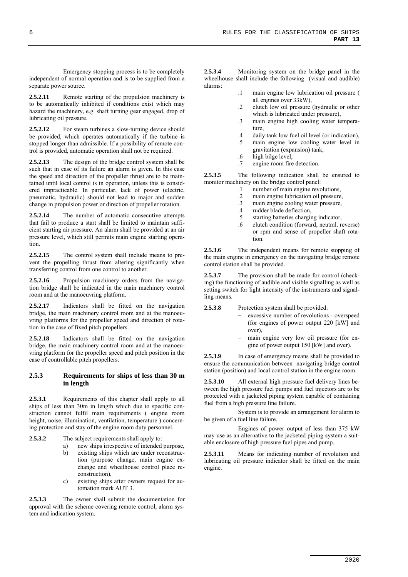Emergency stopping process is to be completely independent of normal operation and is to be supplied from a separate power source.

2.5.2.11 Remote starting of the propulsion machinery is to be automatically inhibited if conditions exist which may hazard the machinery, e.g. shaft turning gear engaged, drop of lubricating oil pressure.

2.5.2.12 For steam turbines a slow-turning device should be provided, which operates automatically if the turbine is stopped longer than admissible. If a possibility of remote control is provided, automatic operation shall not be required.

**2.5.2.13** The design of the bridge control system shall be such that in case of its failure an alarm is given. In this case the speed and direction of the propeller thrust are to be maintained until local control is in operation, unless this is considered impracticable. In particular, lack of power (electric, pneumatic, hydraulic) should not lead to major and sudden change in propulsion power or direction of propeller rotation.

2.5.2.14 The number of automatic consecutive attempts that fail to produce a start shall be limited to maintain sufficient starting air pressure. An alarm shall be provided at an air pressure level, which still permits main engine starting operation.

**2.5.2.15** The control system shall include means to prevent the propelling thrust from altering significantly when transferring control from one control to another.

**2.5.2.16** Propulsion machinery orders from the navigation bridge shall be indicated in the main machinery control room and at the manoeuvring platform.

**2.5.2.17** Indicators shall be fitted on the navigation bridge, the main machinery control room and at the manoeuvring platforms for the propeller speed and direction of rotation in the case of fixed pitch propellers.

**2.5.2.18** Indicators shall be fitted on the navigation bridge, the main machinery control room and at the manoeuvring platform for the propeller speed and pitch position in the case of controllable pitch propellers.

#### **2.5.3 Requirements for ships of less than 30 m in length**

**2.5.3.1** Requirements of this chapter shall apply to all ships of less than 30m in length which due to specific construction cannot fulfil main requirements ( engine room height, noise, illumination, ventilation, temperature ) concerning protection and stay of the engine room duty personnel.

- **2.5.3.2** The subject requirements shall apply to:
	- a) new ships irrespective of intended purpose,
	- b) existing ships which are under reconstruction (purpose change, main engine exchange and wheelhouse control place reconstruction),
	- c) existing ships after owners request for automation mark AUT 3.

**2.5.3.3** The owner shall submit the documentation for approval with the scheme covering remote control, alarm system and indication system.

**2.5.3.4** Monitoring system on the bridge panel in the wheelhouse shall include the following (visual and audible) alarms:

- .1 main engine low lubrication oil pressure ( all engines over 33kW),
- .2 clutch low oil pressure (hydraulic or other which is lubricated under pressure),
- .3 main engine high cooling water temperature,
- .4 daily tank low fuel oil level (or indication),
- .5 main engine low cooling water level in gravitation (expansion) tank,
- .6 high bilge level,
- .7 engine room fire detection.

**2.5.3.5** The following indication shall be ensured to monitor machinery on the bridge control panel:

- .1 number of main engine revolutions,
- .2 main engine lubrication oil pressure,
- .3 main engine cooling water pressure,<br>4 rudder blade deflection.
- rudder blade deflection,
- .5 starting batteries charging indicator,
- .6 clutch condition (forward, neutral, reverse) or rpm and sense of propeller shaft rotation.

2.5.3.6 The independent means for remote stopping of the main engine in emergency on the navigating bridge remote control station shall be provided.

2.5.3.7 The provision shall be made for control (checking) the functioning of audible and visible signalling as well as setting switch for light intensity of the instruments and signalling means.

**2.5.3.8** Protection system shall be provided:

- excessive number of revolutions overspeed (for engines of power output  $220$  [kW] and over),
- main engine very low oil pressure (for engine of power output 150 [kW] and over).

**2.5.3.9** In case of emergency means shall be provided to ensure the communication between navigating bridge control station (position) and local control station in the engine room.

**2.5.3.10** All external high pressure fuel delivery lines between the high pressure fuel pumps and fuel injectors are to be protected with a jacketed piping system capable of containing fuel from a high pressure line failure.

System is to provide an arrangement for alarm to be given of a fuel line failure.

Engines of power output of less than 375 kW may use as an alternative to the jacketed piping system a suitable enclosure of high pressure fuel pipes and pump.

**2.5.3.11** Means for indicating number of revolution and lubricating oil pressure indicator shall be fitted on the main engine.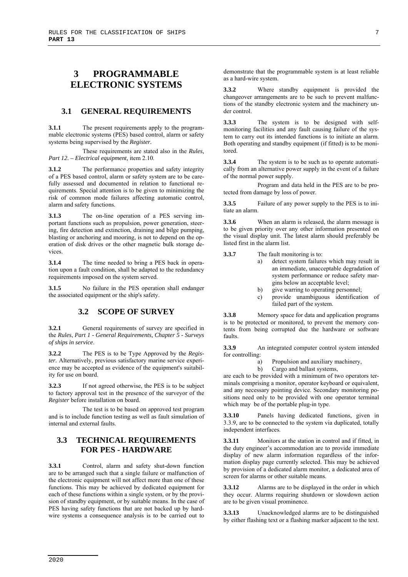# **3 PROGRAMMABLE ELECTRONIC SYSTEMS**

#### **3.1 GENERAL REQUIREMENTS**

**3.1.1** The present requirements apply to the programmable electronic systems (PES) based control, alarm or safety systems being supervised by the *Register.*

These requirements are stated also in the *Rules, Part 12. – Electrical equipment,* item 2.10.

**3.1.2** The performance properties and safety integrity of a PES based control, alarm or safety system are to be carefully assessed and documented in relation to functional requirements. Special attention is to be given to minimizing the risk of common mode failures affecting automatic control, alarm and safety functions.

**3.1.3** The on-line operation of a PES serving important functions such as propulsion, power generation, steering, fire detection and extinction, draining and bilge pumping, blasting or anchoring and mooring, is not to depend on the operation of disk drives or the other magnetic bulk storage devices.

**3.1.4** The time needed to bring a PES back in operation upon a fault condition, shall be adapted to the redundancy requirements imposed on the system served.

**3.1.5** No failure in the PES operation shall endanger the associated equipment or the ship's safety.

#### **3.2 SCOPE OF SURVEY**

**3.2.1** General requirements of survey are specified in the *Rules*, *Part 1 - General Requirements, Chapter 5 - Surveys of ships in service*.

**3.2.2** The PES is to be Type Approved by the *Register.* Alternatively, previous satisfactory marine service experience may be accepted as evidence of the equipment's suitability for use on board.

**3.2.3** If not agreed otherwise, the PES is to be subject to factory approval test in the presence of the surveyor of the *Register* before installation on board.

The test is to be based on approved test program and is to include function testing as well as fault simulation of internal and external faults.

#### **3.3 TECHNICAL REQUIREMENTS FOR PES - HARDWARE**

**3.3.1** Control, alarm and safety shut-down function are to be arranged such that a single failure or malfunction of the electronic equipment will not affect more than one of these functions. This may be achieved by dedicated equipment for each of these functions within a single system, or by the provision of standby equipment, or by suitable means. In the case of PES having safety functions that are not backed up by hardwire systems a consequence analysis is to be carried out to

demonstrate that the programmable system is at least reliable as a hard-wire system.

**3.3.2** Where standby equipment is provided the changeover arrangements are to be such to prevent malfunctions of the standby electronic system and the machinery under control.

**3.3.3** The system is to be designed with selfmonitoring facilities and any fault causing failure of the system to carry out its intended functions is to initiate an alarm. Both operating and standby equipment (if fitted) is to be monitored.

**3.3.4** The system is to be such as to operate automatically from an alternative power supply in the event of a failure of the normal power supply.

Program and data held in the PES are to be protected from damage by loss of power.

**3.3.5** Failure of any power supply to the PES is to initiate an alarm.

**3.3.6** When an alarm is released, the alarm message is to be given priority over any other information presented on the visual display unit. The latest alarm should preferably be listed first in the alarm list.

**3.3.7** The fault monitoring is to:

- a) detect system failures which may result in an immediate, unacceptable degradation of system performance or reduce safety margins below an acceptable level;
- b) give warring to operating personnel;
- c) provide unambiguous identification of failed part of the system.

**3.3.8** Memory space for data and application programs is to be protected or monitored, to prevent the memory contents from being corrupted due the hardware or software faults.

**3.3.9** An integrated computer control system intended for controlling:

- a) Propulsion and auxiliary machinery,
- b) Cargo and ballast systems,

are each to be provided with a minimum of two operators terminals comprising a monitor, operator keyboard or equivalent, and any necessary pointing device. Secondary monitoring positions need only to be provided with one operator terminal which may be of the portable plug-in type.

**3.3.10** Panels having dedicated functions, given in 3.3.9, are to be connected to the system via duplicated, totally independent interfaces.

**3.3.11** Monitors at the station in control and if fitted, in the duty engineer's accommodation are to provide immediate display of new alarm information regardless of the information display page currently selected. This may be achieved by provision of a dedicated alarm monitor, a dedicated area of screen for alarms or other suitable means.

**3.3.12** Alarms are to be displayed in the order in which they occur. Alarms requiring shutdown or slowdown action are to be given visual prominence.

**3.3.13** Unacknowledged alarms are to be distinguished by either flashing text or a flashing marker adjacent to the text.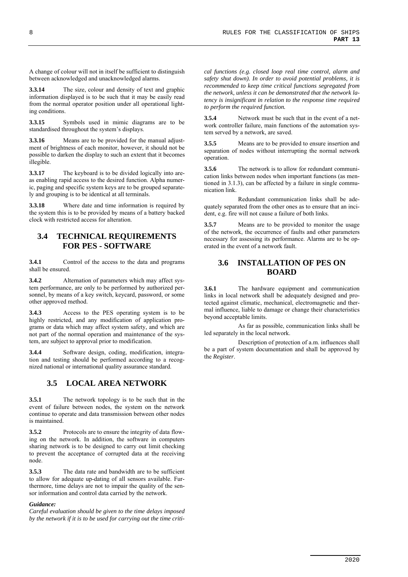A change of colour will not in itself be sufficient to distinguish between acknowledged and unacknowledged alarms.

**3.3.14** The size, colour and density of text and graphic information displayed is to be such that it may be easily read from the normal operator position under all operational lighting conditions.

**3.3.15** Symbols used in mimic diagrams are to be standardised throughout the system's displays.

**3.3.16** Means are to be provided for the manual adjustment of brightness of each monitor, however, it should not be possible to darken the display to such an extent that it becomes illegible.

**3.3.17** The keyboard is to be divided logically into areas enabling rapid access to the desired function. Alpha numeric, paging and specific system keys are to be grouped separately and grouping is to be identical at all terminals.

**3.3.18** Where date and time information is required by the system this is to be provided by means of a battery backed clock with restricted access for alteration.

#### **3.4 TECHNICAL REQUIREMENTS FOR PES - SOFTWARE**

**3.4.1** Control of the access to the data and programs shall be ensured.

**3.4.2** Alternation of parameters which may affect system performance, are only to be performed by authorized personnel, by means of a key switch, keycard, password, or some other approved method.

**3.4.3** Access to the PES operating system is to be highly restricted, and any modification of application programs or data which may affect system safety, and which are not part of the normal operation and maintenance of the system, are subject to approval prior to modification.

**3.4.4** Software design, coding, modification, integration and testing should be performed according to a recognized national or international quality assurance standard.

#### **3.5 LOCAL AREA NETWORK**

**3.5.1** The network topology is to be such that in the event of failure between nodes, the system on the network continue to operate and data transmission between other nodes is maintained.

**3.5.2** Protocols are to ensure the integrity of data flowing on the network. In addition, the software in computers sharing network is to be designed to carry out limit checking to prevent the acceptance of corrupted data at the receiving node.

**3.5.3** The data rate and bandwidth are to be sufficient to allow for adequate up-dating of all sensors available. Furthermore, time delays are not to impair the quality of the sensor information and control data carried by the network.

#### *Guidance:*

*Careful evaluation should be given to the time delays imposed by the network if it is to be used for carrying out the time criti-* *cal functions (e.g. closed loop real time control, alarm and safety shut down). In order to avoid potential problems, it is recommended to keep time critical functions segregated from the network, unless it can be demonstrated that the network latency is insignificant in relation to the response time required to perform the required function.* 

**3.5.4** Network must be such that in the event of a network controller failure, main functions of the automation system served by a network, are saved.

**3.5.5** Means are to be provided to ensure insertion and separation of nodes without interrupting the normal network operation.

**3.5.6** The network is to allow for redundant communication links between nodes when important functions (as mentioned in 3.1.3), can be affected by a failure in single communication link.

Redundant communication links shall be adequately separated from the other ones as to ensure that an incident, e.g. fire will not cause a failure of both links.

**3.5.7** Means are to be provided to monitor the usage of the network, the occurrence of faults and other parameters necessary for assessing its performance. Alarms are to be operated in the event of a network fault.

#### **3.6 INSTALLATION OF PES ON BOARD**

**3.6.1** The hardware equipment and communication links in local network shall be adequately designed and protected against climatic, mechanical, electromagnetic and thermal influence, liable to damage or change their characteristics beyond acceptable limits.

As far as possible, communication links shall be led separately in the local network.

Description of protection of a.m. influences shall be a part of system documentation and shall be approved by the *Register*.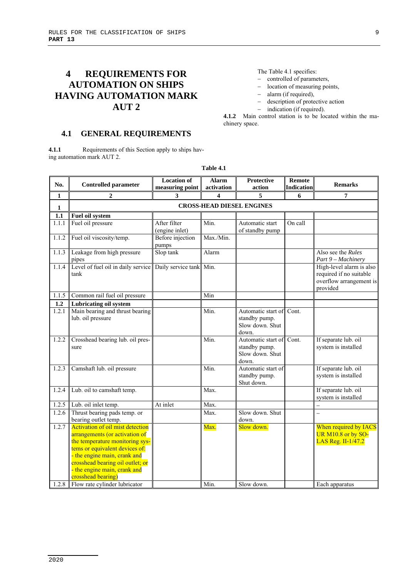# **4 REQUIREMENTS FOR AUTOMATION ON SHIPS HAVING AUTOMATION MARK AUT 2**

The Table 4.1 specifies:

- controlled of parameters,
- location of measuring points,
- alarm (if required),
- description of protective action
- indication (if required).

**4.1.2** Main control station is to be located within the machinery space.

#### **4.1 GENERAL REQUIREMENTS**

**4.1.1** Requirements of this Section apply to ships having automation mark AUT 2.

| No.            | <b>Controlled parameter</b>                                                                                                                                                                                                                                                                             | <b>Location of</b><br>measuring point | <b>Alarm</b><br>activation | Protective<br>action                                            | <b>Remote</b><br>Indication | <b>Remarks</b>                                                                             |  |  |
|----------------|---------------------------------------------------------------------------------------------------------------------------------------------------------------------------------------------------------------------------------------------------------------------------------------------------------|---------------------------------------|----------------------------|-----------------------------------------------------------------|-----------------------------|--------------------------------------------------------------------------------------------|--|--|
| 1              | 2                                                                                                                                                                                                                                                                                                       | 3                                     | 4                          | 5                                                               | 6                           | 7                                                                                          |  |  |
| $\mathbf{1}$   | <b>CROSS-HEAD DIESEL ENGINES</b>                                                                                                                                                                                                                                                                        |                                       |                            |                                                                 |                             |                                                                                            |  |  |
| 1.1            | Fuel oil system                                                                                                                                                                                                                                                                                         |                                       |                            |                                                                 |                             |                                                                                            |  |  |
| 1.1.1          | Fuel oil pressure                                                                                                                                                                                                                                                                                       | After filter<br>(engine inlet)        | Min.                       | Automatic start<br>of standby pump                              | On call                     |                                                                                            |  |  |
| 1.1.2          | Fuel oil viscosity/temp.                                                                                                                                                                                                                                                                                | Before injection<br>pumps             | Max./Min.                  |                                                                 |                             |                                                                                            |  |  |
| 1.1.3          | Leakage from high pressure<br>pipes                                                                                                                                                                                                                                                                     | Slop tank                             | Alarm                      |                                                                 |                             | Also see the <i>Rules</i><br>Part 9 - Machinery                                            |  |  |
| 1.1.4          | Level of fuel oil in daily service<br>tank                                                                                                                                                                                                                                                              | Daily service tank Min.               |                            |                                                                 |                             | High-level alarm is also<br>required if no suitable<br>overflow arrangement is<br>provided |  |  |
| 1.1.5          | Common rail fuel oil pressure                                                                                                                                                                                                                                                                           |                                       | Min                        |                                                                 |                             |                                                                                            |  |  |
| 1.2            | <b>Lubricating oil system</b>                                                                                                                                                                                                                                                                           |                                       |                            |                                                                 |                             |                                                                                            |  |  |
| 1.2.1          | Main bearing and thrust bearing<br>lub. oil pressure                                                                                                                                                                                                                                                    |                                       | Min.                       | Automatic start of<br>standby pump.<br>Slow down. Shut<br>down. | Cont.                       |                                                                                            |  |  |
| 1.2.2          | Crosshead bearing lub. oil pres-<br>sure                                                                                                                                                                                                                                                                |                                       | Min.                       | Automatic start of<br>standby pump.<br>Slow down. Shut<br>down. | Cont.                       | If separate lub. oil<br>system is installed                                                |  |  |
| 1.2.3          | Camshaft lub. oil pressure                                                                                                                                                                                                                                                                              |                                       | Min.                       | Automatic start of<br>standby pump.<br>Shut down.               |                             | If separate lub. oil<br>system is installed                                                |  |  |
| 1.2.4          | Lub. oil to camshaft temp.                                                                                                                                                                                                                                                                              |                                       | Max.                       |                                                                 |                             | If separate lub. oil<br>system is installed                                                |  |  |
| 1.2.5          | Lub. oil inlet temp.                                                                                                                                                                                                                                                                                    | At inlet                              | Max.                       |                                                                 |                             |                                                                                            |  |  |
| 1.2.6          | Thrust bearing pads temp. or<br>bearing outlet temp.                                                                                                                                                                                                                                                    |                                       | Max.                       | Slow down. Shut<br>down.                                        |                             | $\overline{\phantom{0}}$                                                                   |  |  |
| 1.2.7<br>1.2.8 | <b>Activation of oil mist detection</b><br>arrangements (or activation of<br>the temperature monitoring sys-<br>tems or equivalent devices of:<br>- the engine main, crank and<br>crosshead bearing oil outlet; or<br>the engine main, crank and<br>crosshead bearing)<br>Flow rate cylinder lubricator |                                       | Max.<br>Min.               | Slow down.<br>Slow down.                                        |                             | When required by IACS<br>UR M10.8 or by SO-<br>LAS Reg. II-1/47.2<br>Each apparatus        |  |  |
|                |                                                                                                                                                                                                                                                                                                         |                                       |                            |                                                                 |                             |                                                                                            |  |  |

**Table 4.1**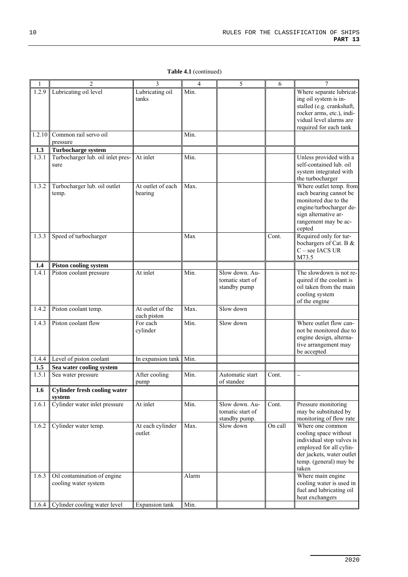**Table 4.1** (continued)

| $\mathbf{1}$ | 2                                             | 3                          | 4     | 5                | 6       | 7                                                      |
|--------------|-----------------------------------------------|----------------------------|-------|------------------|---------|--------------------------------------------------------|
| 1.2.9        | Lubricating oil level                         | Lubricating oil            | Min.  |                  |         | Where separate lubricat-                               |
|              |                                               | tanks                      |       |                  |         | ing oil system is in-                                  |
|              |                                               |                            |       |                  |         | stalled (e.g. crankshaft,<br>rocker arms, etc.), indi- |
|              |                                               |                            |       |                  |         | vidual level alarms are                                |
|              |                                               |                            |       |                  |         | required for each tank                                 |
| 1.2.10       | Common rail servo oil                         |                            | Min.  |                  |         |                                                        |
|              | pressure                                      |                            |       |                  |         |                                                        |
| 1.3          | Turbocharge system                            |                            |       |                  |         |                                                        |
| 1.3.1        | Turbocharger lub. oil inlet pres-             | At inlet                   | Min.  |                  |         | Unless provided with a<br>self-contained lub. oil      |
|              | sure                                          |                            |       |                  |         | system integrated with                                 |
|              |                                               |                            |       |                  |         | the turbocharger                                       |
| 1.3.2        | Turbocharger lub. oil outlet                  | At outlet of each          | Max.  |                  |         | Where outlet temp. from                                |
|              | temp.                                         | bearing                    |       |                  |         | each bearing cannot be                                 |
|              |                                               |                            |       |                  |         | monitored due to the                                   |
|              |                                               |                            |       |                  |         | engine/turbocharger de-<br>sign alternative ar-        |
|              |                                               |                            |       |                  |         | rangement may be ac-                                   |
|              |                                               |                            |       |                  |         | cepted                                                 |
| 1.3.3        | Speed of turbocharger                         |                            | Max   |                  | Cont.   | Required only for tur-                                 |
|              |                                               |                            |       |                  |         | bochargers of Cat. B &                                 |
|              |                                               |                            |       |                  |         | C - see IACS UR<br>M73.5                               |
| 1.4          | <b>Piston cooling system</b>                  |                            |       |                  |         |                                                        |
| 1.4.1        | Piston coolant pressure                       | At inlet                   | Min.  | Slow down. Au-   |         | The slowdown is not re-                                |
|              |                                               |                            |       | tomatic start of |         | quired if the coolant is                               |
|              |                                               |                            |       | standby pump     |         | oil taken from the main                                |
|              |                                               |                            |       |                  |         | cooling system                                         |
| 1.4.2        |                                               | At outlet of the           | Max.  | Slow down        |         | of the engine                                          |
|              | Piston coolant temp.                          | each piston                |       |                  |         |                                                        |
| 1.4.3        | Piston coolant flow                           | For each                   | Min.  | Slow down        |         | Where outlet flow can-                                 |
|              |                                               | cylinder                   |       |                  |         | not be monitored due to                                |
|              |                                               |                            |       |                  |         | engine design, alterna-<br>tive arrangement may        |
|              |                                               |                            |       |                  |         | be accepted                                            |
| 1.4.4        | Level of piston coolant                       | In expansion tank          | Min.  |                  |         |                                                        |
| $1.5\,$      | Sea water cooling system                      |                            |       |                  |         |                                                        |
| 1.5.1        | Sea water pressure                            | After cooling              | Min.  | Automatic start  | Cont.   |                                                        |
|              |                                               | pump                       |       | of standee       |         |                                                        |
| 1.6          | <b>Cylinder fresh cooling water</b><br>system |                            |       |                  |         |                                                        |
| 1.6.1        | Cylinder water inlet pressure                 | At inlet                   | Min.  | Slow down. Au-   | Cont.   | Pressure monitoring                                    |
|              |                                               |                            |       | tomatic start of |         | may be substituted by                                  |
|              |                                               |                            |       | standby pump.    |         | monitoring of flow rate                                |
| 1.6.2        | Cylinder water temp.                          | At each cylinder<br>outlet | Max.  | Slow down        | On call | Where one common<br>cooling space without              |
|              |                                               |                            |       |                  |         | individual stop valves is                              |
|              |                                               |                            |       |                  |         | employed for all cylin-                                |
|              |                                               |                            |       |                  |         | der jackets, water outlet                              |
|              |                                               |                            |       |                  |         | temp. (general) may be                                 |
| 1.6.3        | Oil contamination of engine                   |                            |       |                  |         | taken                                                  |
|              | cooling water system                          |                            | Alarm |                  |         | Where main engine<br>cooling water is used in          |
|              |                                               |                            |       |                  |         | fuel and lubricating oil                               |
|              |                                               |                            |       |                  |         | heat exchangers                                        |
| 1.6.4        | Cylinder cooling water level                  | Expansion tank             | Min.  |                  |         |                                                        |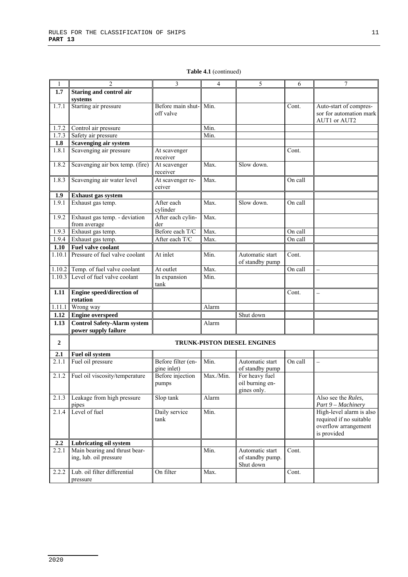| 1                | $\overline{2}$                     | 3                        | $\overline{4}$ | 5                                  | 6       | 7                        |
|------------------|------------------------------------|--------------------------|----------------|------------------------------------|---------|--------------------------|
| 1.7              | Staring and control air            |                          |                |                                    |         |                          |
|                  | systems                            |                          |                |                                    |         |                          |
| 1.7.1            | Starting air pressure              | Before main shut-        | Min.           |                                    | Cont.   | Auto-start of compres-   |
|                  |                                    | off valve                |                |                                    |         | sor for automation mark  |
|                  |                                    |                          |                |                                    |         | AUT1 or AUT2             |
|                  |                                    |                          |                |                                    |         |                          |
| 1.7.2            | Control air pressure               |                          | Min.           |                                    |         |                          |
| 1.7.3            | Safety air pressure                |                          | Min.           |                                    |         |                          |
| 1.8              | Scavenging air system              |                          |                |                                    |         |                          |
| 1.8.1            | Scavenging air pressure            | At scavenger<br>receiver |                |                                    | Cont.   |                          |
| 1.8.2            | Scavenging air box temp. (fire)    | At scavenger<br>receiver | Max.           | Slow down.                         |         |                          |
| 1.8.3            | Scavenging air water level         | At scavenger re-         | Max.           |                                    | On call |                          |
|                  |                                    | ceiver                   |                |                                    |         |                          |
| 1.9              | Exhaust gas system                 |                          |                |                                    |         |                          |
| 1.9.1            | Exhaust gas temp.                  | After each<br>cylinder   | Max.           | Slow down.                         | On call |                          |
| 1.9.2            | Exhaust gas temp. - deviation      | After each cylin-        | Max.           |                                    |         |                          |
|                  | from average                       | der                      |                |                                    |         |                          |
| 1.9.3            | Exhaust gas temp.                  | Before each T/C          | Max.           |                                    | On call |                          |
| 1.9.4            | Exhaust gas temp.                  | After each T/C           | Max.           |                                    | On call |                          |
|                  |                                    |                          |                |                                    |         |                          |
| 1.10             | Fuel valve coolant                 |                          |                |                                    |         |                          |
| 1.10.1           | Pressure of fuel valve coolant     | At inlet                 | Min.           | Automatic start<br>of standby pump | Cont.   |                          |
| 1.10.2           | Temp. of fuel valve coolant        | At outlet                | Max.           |                                    | On call | $\equiv$                 |
| 1.10.3           | Level of fuel valve coolant        | In expansion             | Min.           |                                    |         |                          |
|                  |                                    | tank                     |                |                                    |         |                          |
| 1.11             | Engine speed/direction of          |                          |                |                                    | Cont.   | $\overline{\phantom{0}}$ |
|                  | rotation                           |                          |                |                                    |         |                          |
| 1.11.1           | Wrong way                          |                          | Alarm          |                                    |         |                          |
| 1.12             | <b>Engine overspeed</b>            |                          |                | Shut down                          |         |                          |
| 1.13             | <b>Control Safety-Alarm system</b> |                          | Alarm          |                                    |         |                          |
|                  | power supply failure               |                          |                |                                    |         |                          |
|                  |                                    |                          |                |                                    |         |                          |
| $\boldsymbol{2}$ |                                    |                          |                | <b>TRUNK-PISTON DIESEL ENGINES</b> |         |                          |
| 2.1              | Fuel oil system                    |                          |                |                                    |         |                          |
| 2.1.1            | Fuel oil pressure                  | Before filter (en-       | Min.           | Automatic start                    | On call |                          |
|                  |                                    | gine inlet)              |                | of standby pump                    |         |                          |
| 2.1.2            | Fuel oil viscosity/temperature     | Before injection         | Max./Min.      | For heavy fuel                     |         |                          |
|                  |                                    | pumps                    |                | oil burning en-                    |         |                          |
|                  |                                    |                          |                | gines only.                        |         |                          |
| 2.1.3            | Leakage from high pressure         | Slop tank                | Alarm          |                                    |         | Also see the Rules.      |
|                  | pipes                              |                          |                |                                    |         | Part 9 - Machinery       |
| 2.1.4            | Level of fuel                      | Daily service            | Min.           |                                    |         | High-level alarm is also |
|                  |                                    | tank                     |                |                                    |         | required if no suitable  |
|                  |                                    |                          |                |                                    |         | overflow arrangement     |
|                  |                                    |                          |                |                                    |         | is provided              |
|                  |                                    |                          |                |                                    |         |                          |
| 2.2              | Lubricating oil system             |                          |                |                                    |         |                          |
| 2.2.1            | Main bearing and thrust bear-      |                          | Min.           | Automatic start                    | Cont.   |                          |
|                  | ing, lub. oil pressure             |                          |                | of standby pump.                   |         |                          |
|                  |                                    |                          |                | Shut down                          |         |                          |
| 2.2.2            | Lub. oil filter differential       | On filter                | Max.           |                                    | Cont.   |                          |
|                  | pressure                           |                          |                |                                    |         |                          |

**Table 4.1** (continued)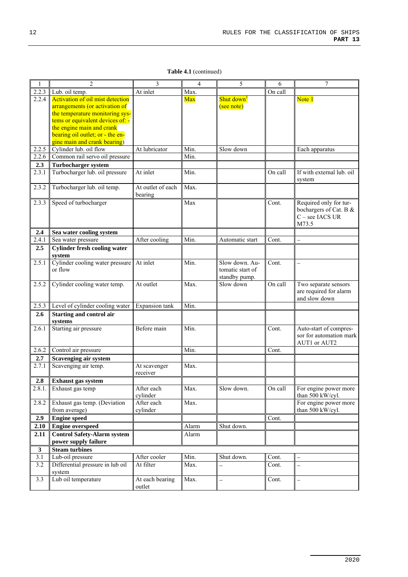**Table 4.1** (continued)

| $\mathbf{1}$     | $\overline{c}$                                                | 3                 | 4     | 5                        | 6       | 7                         |
|------------------|---------------------------------------------------------------|-------------------|-------|--------------------------|---------|---------------------------|
| 2.2.3            | Lub. oil temp.                                                | At inlet          | Max.  |                          | On call |                           |
| 2.2.4            | <b>Activation of oil mist detection</b>                       |                   | Max   | Shut down <sup>1</sup>   |         | Note 1                    |
|                  | arrangements (or activation of                                |                   |       | (see note)               |         |                           |
|                  | the temperature monitoring sys-                               |                   |       |                          |         |                           |
|                  | tems or equivalent devices of: -                              |                   |       |                          |         |                           |
|                  | the engine main and crank<br>bearing oil outlet; or - the en- |                   |       |                          |         |                           |
|                  | gine main and crank bearing)                                  |                   |       |                          |         |                           |
| 2.2.5            | Cylinder lub. oil flow                                        | At lubricator     | Min.  | Slow down                |         | Each apparatus            |
| 2.2.6            | Common rail servo oil pressure                                |                   | Min.  |                          |         |                           |
| 2.3              | <b>Turbocharger system</b>                                    |                   |       |                          |         |                           |
| 2.3.1            | Turbocharger lub. oil pressure                                | At inlet          | Min.  |                          | On call | If with external lub. oil |
|                  |                                                               |                   |       |                          |         | system                    |
| 2.3.2            | Turbocharger lub. oil temp.                                   | At outlet of each | Max.  |                          |         |                           |
|                  |                                                               | bearing           |       |                          |         |                           |
| 2.3.3            | Speed of turbocharger                                         |                   | Max   |                          | Cont.   | Required only for tur-    |
|                  |                                                               |                   |       |                          |         | bochargers of Cat. B &    |
|                  |                                                               |                   |       |                          |         | C - see IACS UR           |
|                  |                                                               |                   |       |                          |         | M73.5                     |
| 2.4<br>2.4.1     | Sea water cooling system<br>Sea water pressure                | After cooling     | Min.  | Automatic start          | Cont.   | $\overline{\phantom{0}}$  |
| 2.5              | <b>Cylinder fresh cooling water</b>                           |                   |       |                          |         |                           |
|                  | system                                                        |                   |       |                          |         |                           |
| 2.5.1            | Cylinder cooling water pressure                               | At inlet          | Min.  | Slow down. Au-           | Cont.   | $\overline{\phantom{0}}$  |
|                  | or flow                                                       |                   |       | tomatic start of         |         |                           |
|                  |                                                               |                   |       | standby pump.            |         |                           |
| 2.5.2            | Cylinder cooling water temp.                                  | At outlet         | Max.  | Slow down                | On call | Two separate sensors      |
|                  |                                                               |                   |       |                          |         | are required for alarm    |
|                  |                                                               |                   |       |                          |         | and slow down             |
| 2.5.3            | Level of cylinder cooling water                               | Expansion tank    | Min.  |                          |         |                           |
| 2.6              | <b>Starting and control air</b>                               |                   |       |                          |         |                           |
| 2.6.1            | systems<br>Starting air pressure                              | Before main       | Min.  |                          | Cont.   | Auto-start of compres-    |
|                  |                                                               |                   |       |                          |         | sor for automation mark   |
|                  |                                                               |                   |       |                          |         | AUT1 or AUT2              |
| 2.6.2            | Control air pressure                                          |                   | Min.  |                          | Cont.   |                           |
| 2.7              | Scavenging air system                                         |                   |       |                          |         |                           |
| 2.7.1            | Scavenging air temp.                                          | At scavenger      | Max.  |                          |         |                           |
|                  |                                                               | receiver          |       |                          |         |                           |
| 2.8              | <b>Exhaust</b> gas system                                     |                   |       |                          |         |                           |
| 2.8.1.           | Exhaust gas temp                                              | After each        | Max.  | Slow down.               | On call | For engine power more     |
|                  |                                                               | cylinder          |       |                          |         | than 500 kW/cyl.          |
| 2.8.2            | Exhaust gas temp. (Deviation                                  | After each        | Max.  |                          |         | For engine power more     |
|                  | from average)                                                 | cylinder          |       |                          |         | than 500 kW/cyl.          |
| 2.9              | <b>Engine speed</b>                                           |                   |       |                          | Cont.   |                           |
| 2.10             | <b>Engine overspeed</b>                                       |                   | Alarm | Shut down.               |         |                           |
| 2.11             | <b>Control Safety-Alarm system</b><br>power supply failure    |                   | Alarm |                          |         |                           |
| $\mathbf{3}$     | <b>Steam turbines</b>                                         |                   |       |                          |         |                           |
| $\overline{3.1}$ | Lub-oil pressure                                              | After cooler      | Min.  | Shut down.               | Cont.   |                           |
| 3.2              | Differential pressure in lub oil                              | At filter         | Max.  | $\overline{\phantom{0}}$ | Cont.   | $\overline{\phantom{0}}$  |
|                  | system                                                        |                   |       |                          |         |                           |
| $\overline{3.3}$ | Lub oil temperature                                           | At each bearing   | Max.  | $\equiv$                 | Cont.   | $\overline{\phantom{0}}$  |
|                  |                                                               | outlet            |       |                          |         |                           |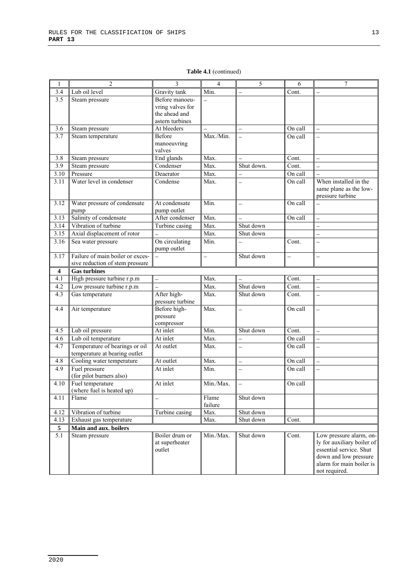| 1                       | 2                                                                   | 3                                                                      | $\overline{4}$     | 5                        | 6                        | 7                                                                                                                                                      |
|-------------------------|---------------------------------------------------------------------|------------------------------------------------------------------------|--------------------|--------------------------|--------------------------|--------------------------------------------------------------------------------------------------------------------------------------------------------|
| 3.4                     | Lub oil level                                                       | Gravity tank                                                           | Min.               | $\overline{\phantom{0}}$ | Cont.                    |                                                                                                                                                        |
| 3.5                     | Steam pressure                                                      | Before manoeu-<br>vring valves for<br>the ahead and<br>astern turbines |                    |                          |                          |                                                                                                                                                        |
| 3.6                     | Steam pressure                                                      | At bleeders                                                            |                    |                          | On call                  | $\equiv$                                                                                                                                               |
| 3.7                     | Steam temperature                                                   | Before<br>manoeuvring<br>valves                                        | Max./Min.          |                          | On call                  | $\overline{a}$                                                                                                                                         |
| 3.8                     | Steam pressure                                                      | End glands                                                             | Max.               |                          | Cont.                    | $\overline{a}$                                                                                                                                         |
| 3.9                     | Steam pressure                                                      | Condenser                                                              | Max.               | Shut down.               | Cont.                    |                                                                                                                                                        |
| 3.10                    | Pressure                                                            | Deaerator                                                              | Max.               |                          | $\overline{O}$ n call    |                                                                                                                                                        |
| 3.11                    | Water level in condenser                                            | Condense                                                               | Max.               |                          | On call                  | When installed in the<br>same plane as the low-<br>pressure turbine                                                                                    |
| 3.12                    | Water pressure of condensate<br>pump                                | At condensate<br>pump outlet                                           | Min.               | $\overline{\phantom{0}}$ | On call                  |                                                                                                                                                        |
| 3.13                    | Salinity of condensate                                              | After condenser                                                        | Max.               | $\equiv$                 | On call                  | $\equiv$                                                                                                                                               |
| 3.14                    | Vibration of turbine                                                | Turbine casing                                                         | $\overline{Max}$ . | Shut down                |                          | $\equiv$                                                                                                                                               |
| 3.15                    | Axial displacement of rotor                                         |                                                                        | $\overline{Max}$ . | Shut down                |                          | $\overline{\phantom{0}}$                                                                                                                               |
| 3.16                    | Sea water pressure                                                  | On circulating<br>pump outlet                                          | Min.               |                          | Cont.                    |                                                                                                                                                        |
| 3.17                    | Failure of main boiler or exces-<br>sive reduction of stem pressure |                                                                        |                    | Shut down                | $\overline{\phantom{0}}$ | $\overline{\phantom{0}}$                                                                                                                               |
| $\overline{\mathbf{4}}$ | <b>Gas turbines</b>                                                 |                                                                        |                    |                          |                          |                                                                                                                                                        |
| 4.1                     | High pressure turbine r.p.m                                         | $\overline{\phantom{0}}$                                               | Max.               |                          | Cont.                    | $\overline{\phantom{0}}$                                                                                                                               |
| 4.2                     | Low pressure turbine r.p.m                                          | $\overline{\phantom{0}}$                                               | Max.               | Shut down                | Cont.                    | $\overline{a}$                                                                                                                                         |
| 4.3                     | Gas temperature                                                     | After high-<br>pressure turbine                                        | Max.               | Shut down                | Cont.                    |                                                                                                                                                        |
| 4.4                     | Air temperature                                                     | Before high-<br>pressure<br>compressor                                 | Max.               | $\overline{\phantom{0}}$ | On call                  | $\overline{a}$                                                                                                                                         |
| 4.5                     | Lub oil pressure                                                    | At inlet                                                               | Min.               | Shut down                | Cont.                    | $\equiv$                                                                                                                                               |
| 4.6                     | Lub oil temperature                                                 | At inlet                                                               | Max.               |                          | On call                  |                                                                                                                                                        |
| 4.7                     | Temperature of bearings or oil<br>temperature at bearing outlet     | At outlet                                                              | Max.               |                          | On call                  |                                                                                                                                                        |
| 4.8                     | Cooling water temperature                                           | At outlet                                                              | Max.               | $\overline{\phantom{0}}$ | On call                  |                                                                                                                                                        |
| 4.9                     | Fuel pressure<br>(for pilot burners also)                           | At inlet                                                               | Min.               | $\overline{\phantom{0}}$ | On call                  | $\overline{\phantom{0}}$                                                                                                                               |
| 4.10                    | Fuel temperature<br>(where fuel is heated up)                       | At inlet                                                               | Min./Max.          |                          | On call                  |                                                                                                                                                        |
| 4.11                    | Flame                                                               |                                                                        | Flame<br>failure   | Shut down                |                          |                                                                                                                                                        |
| 4.12                    | Vibration of turbine                                                | Turbine casing                                                         | Max.               | Shut down                |                          |                                                                                                                                                        |
| 4.13                    | Exhaust gas temperature                                             |                                                                        | Max.               | Shut down                | Cont.                    |                                                                                                                                                        |
| 5                       | Main and aux. boilers                                               |                                                                        |                    |                          |                          |                                                                                                                                                        |
| $\overline{5.1}$        | Steam pressure                                                      | Boiler drum or<br>at superheater<br>outlet                             | Min./Max.          | Shut down                | Cont.                    | Low pressure alarm, on-<br>ly for auxiliary boiler of<br>essential service. Shut<br>down and low pressure<br>alarm for main boiler is<br>not required. |

#### **Table 4.1** (continued)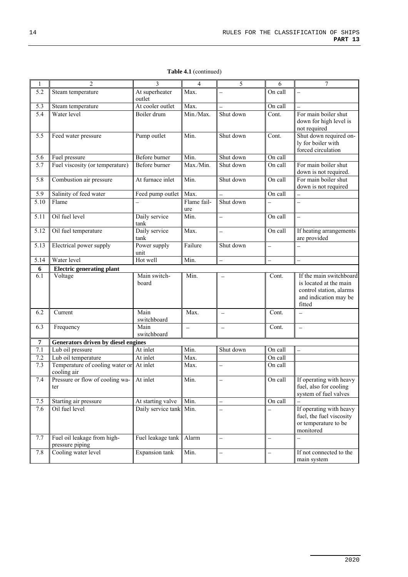| 1                | $\overline{2}$                                 | 3                        | 4                                                                                           | 5                        | 6                        | 7                                                                                                               |
|------------------|------------------------------------------------|--------------------------|---------------------------------------------------------------------------------------------|--------------------------|--------------------------|-----------------------------------------------------------------------------------------------------------------|
| 5.2              | Steam temperature                              | At superheater<br>outlet | Max.                                                                                        | $\overline{\phantom{0}}$ | On call                  |                                                                                                                 |
| 5.3              | Steam temperature                              | At cooler outlet         | Max.                                                                                        |                          | On call                  |                                                                                                                 |
| $\overline{5.4}$ | Water level                                    | Boiler drum              | Min./Max.                                                                                   | Shut down                | Cont.                    | For main boiler shut<br>down for high level is<br>not required                                                  |
| $\overline{5.5}$ | Feed water pressure                            | Pump outlet              | Min.                                                                                        | Shut down                | Cont.                    | Shut down required on-<br>ly for boiler with<br>forced circulation                                              |
| 5.6              | Fuel pressure                                  | Before burner            | Min.                                                                                        | Shut down                | On call                  |                                                                                                                 |
| 5.7              | Fuel viscosity (or temperature)                | Before burner            | Max./Min.                                                                                   | Shut down                | On call                  | For main boiler shut<br>down is not required.                                                                   |
| 5.8              | Combustion air pressure                        | At furnace inlet         | Min.                                                                                        | Shut down                | On call                  | For main boiler shut<br>down is not required                                                                    |
| 5.9              | Salinity of feed water                         | Feed pump outlet         | Max.                                                                                        |                          | On call                  |                                                                                                                 |
| 5.10             | Flame                                          |                          | Flame fail-<br>ure                                                                          | Shut down                |                          |                                                                                                                 |
| 5.11             | Oil fuel level                                 | Daily service<br>tank    | Min.                                                                                        | $\overline{\phantom{0}}$ | On call                  | $\equiv$                                                                                                        |
| 5.12             | Oil fuel temperature                           | Daily service<br>tank    | Max.                                                                                        | $\overline{\phantom{0}}$ | On call                  | If heating arrangements<br>are provided                                                                         |
| 5.13             | Electrical power supply                        | Power supply<br>unit     | Failure                                                                                     | Shut down                | $\equiv$                 |                                                                                                                 |
| 5.14             | Water level                                    | Hot well                 | Min.                                                                                        | $\overline{\phantom{0}}$ | $\overline{\phantom{0}}$ | $\overline{\phantom{0}}$                                                                                        |
| 6                | <b>Electric generating plant</b>               |                          |                                                                                             |                          |                          |                                                                                                                 |
| 6.1              | Voltage                                        | Main switch-<br>board    | Min.                                                                                        |                          | Cont.                    | If the main switchboard<br>is located at the main<br>control station, alarms<br>and indication may be<br>fitted |
| 6.2              | $\overline{C}$ urrent                          | Main<br>switchboard      | Max.                                                                                        | $\equiv$                 | Cont.                    |                                                                                                                 |
| 6.3              | Frequency                                      | Main<br>switchboard      | $\hspace{0.1in} \hspace{0.1in} \hspace{0.1in} \hspace{0.1in} \hspace{0.1in} \hspace{0.1in}$ | $\qquad \qquad -$        | Cont.                    | $\overline{\phantom{a}}$                                                                                        |
| $\overline{7}$   | Generators driven by diesel engines            |                          |                                                                                             |                          |                          |                                                                                                                 |
| 7.1              | Lub oil pressure                               | At inlet                 | Min.                                                                                        | Shut down                | On call                  |                                                                                                                 |
| 7.2              | Lub oil temperature                            | At inlet                 | Max.                                                                                        |                          | On call                  |                                                                                                                 |
| 7.3              | Temperature of cooling water or<br>cooling air | At inlet                 | Max.                                                                                        | $\equiv$                 | On call                  |                                                                                                                 |
| 7.4              | Pressure or flow of cooling wa-<br>ter         | At inlet                 | Min.                                                                                        | $\overline{\phantom{0}}$ | On call                  | If operating with heavy<br>fuel, also for cooling<br>system of fuel valves                                      |
| $7.5$            | Starting air pressure                          | At starting valve        | Min.                                                                                        | $\overline{\phantom{0}}$ | On call                  |                                                                                                                 |
| 7.6              | Oil fuel level                                 | Daily service tank       | Min.                                                                                        | $\overline{a}$           |                          | If operating with heavy<br>fuel, the fuel viscosity<br>or temperature to be<br>monitored                        |
| 7.7              | Fuel oil leakage from high-<br>pressure piping | Fuel leakage tank        | Alarm                                                                                       | $\equiv$                 | $\overline{a}$           | $\overline{\phantom{0}}$                                                                                        |
| 7.8              | Cooling water level                            | Expansion tank           | Min.                                                                                        | $\overline{\phantom{0}}$ | $\overline{a}$           | If not connected to the<br>main system                                                                          |

**Table 4.1** (continued)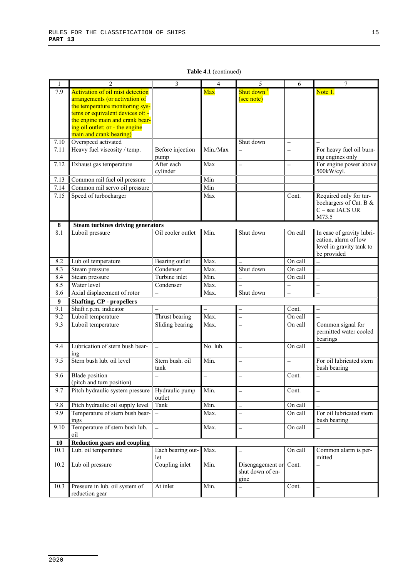| $\mathbf{1}$     | $\overline{c}$                                                      | 3                        | 4                         | 5                        | 6                        | $\overline{7}$                                   |
|------------------|---------------------------------------------------------------------|--------------------------|---------------------------|--------------------------|--------------------------|--------------------------------------------------|
| 7.9              | <b>Activation of oil mist detection</b>                             |                          | Max                       | Shut down <sup>1</sup>   |                          | Note 1.                                          |
|                  | arrangements (or activation of                                      |                          |                           | (see note)               |                          |                                                  |
|                  | the temperature monitoring sys-                                     |                          |                           |                          |                          |                                                  |
|                  | tems or equivalent devices of: -<br>the engine main and crank bear- |                          |                           |                          |                          |                                                  |
|                  | ing oil outlet; or - the engine                                     |                          |                           |                          |                          |                                                  |
|                  | main and crank bearing)                                             |                          |                           |                          |                          |                                                  |
| 7.10             | Overspeed activated                                                 |                          |                           | Shut down                | $\equiv$                 |                                                  |
| 7.11             | Heavy fuel viscosity / temp.                                        | Before injection         | Min./Max                  |                          |                          | For heavy fuel oil burn-                         |
|                  |                                                                     | pump                     |                           |                          |                          | ing engines only                                 |
| 7.12             | Exhaust gas temperature                                             | After each               | Max                       |                          |                          | For engine power above                           |
|                  |                                                                     | cylinder                 |                           |                          |                          | 500kW/cyl.                                       |
| 7.13             | Common rail fuel oil pressure                                       |                          | Min                       |                          |                          |                                                  |
| 7.14             | Common rail servo oil pressure                                      |                          | Min                       |                          |                          |                                                  |
| 7.15             | Speed of turbocharger                                               |                          | Max                       |                          | Cont.                    | Required only for tur-<br>bochargers of Cat. B & |
|                  |                                                                     |                          |                           |                          |                          | C - see IACS UR                                  |
|                  |                                                                     |                          |                           |                          |                          | M73.5                                            |
| 8                | <b>Steam turbines driving generators</b>                            |                          |                           |                          |                          |                                                  |
| 8.1              | Luboil pressure                                                     | Oil cooler outlet        | Min.                      | Shut down                | On call                  | In case of gravity lubri-                        |
|                  |                                                                     |                          |                           |                          |                          | cation, alarm of low                             |
|                  |                                                                     |                          |                           |                          |                          | level in gravity tank to<br>be provided          |
| 8.2              | Lub oil temperature                                                 | Bearing outlet           | Max.                      |                          | On call                  |                                                  |
| 8.3              | Steam pressure                                                      | Condenser                | Max.                      | Shut down                | On call                  | $\overline{\phantom{0}}$                         |
| 8.4              | Steam pressure                                                      | Turbine inlet            | Min.                      |                          | On call                  | $\overline{\phantom{0}}$                         |
| 8.5              | Water level                                                         | Condenser                | Max.                      |                          | $\overline{\phantom{0}}$ | $\overline{\phantom{0}}$                         |
| 8.6              | Axial displacement of rotor                                         |                          | Max.                      | Shut down                | L.                       |                                                  |
| $\boldsymbol{9}$ | <b>Shafting, CP - propellers</b>                                    |                          |                           |                          |                          |                                                  |
| 9.1              | Shaft r.p.m. indicator                                              |                          | $\equiv$                  | $\overline{\phantom{0}}$ | Cont.                    |                                                  |
| 9.2              | Luboil temperature                                                  | Thrust bearing           | Max.                      | $\overline{\phantom{0}}$ | On call                  |                                                  |
| 9.3              | Luboil temperature                                                  | Sliding bearing          | Max.                      |                          | On call                  | Common signal for                                |
|                  |                                                                     |                          |                           |                          |                          | permitted water cooled                           |
| 9.4              | Lubrication of stern bush bear-                                     |                          | No. lub.                  |                          | On call                  | bearings                                         |
|                  | ing                                                                 | $\overline{\phantom{0}}$ |                           | $\overline{\phantom{0}}$ |                          |                                                  |
| 9.5              | Stern bush lub. oil level                                           | Stern bush, oil          | Min.                      | $\overline{\phantom{0}}$ | $\overline{\phantom{0}}$ | For oil lubricated stern                         |
|                  |                                                                     | tank                     |                           |                          |                          | bush bearing                                     |
| 9.6              | <b>Blade</b> position                                               |                          | $\overline{\phantom{0}}$  | L.                       | Cont.                    |                                                  |
|                  | (pitch and turn position)                                           |                          |                           |                          |                          |                                                  |
| 9.7              | Pitch hydraulic system pressure                                     | Hydraulic pump           | Min.                      |                          | Cont.                    |                                                  |
| 9.8              | Pitch hydraulic oil supply level                                    | outlet<br>Tank           | Min.                      | $\overline{\phantom{0}}$ | On call                  |                                                  |
| 9.9              | Temperature of stern bush bear-                                     | $\overline{\phantom{0}}$ | Max.                      |                          | On call                  | For oil lubricated stern                         |
|                  | ings                                                                |                          |                           |                          |                          | bush bearing                                     |
| 9.10             | Temperature of stern bush lub.                                      | $\equiv$                 | Max.                      |                          | On call                  |                                                  |
|                  | oil                                                                 |                          |                           |                          |                          |                                                  |
| 10               | <b>Reduction gears and coupling</b>                                 |                          |                           |                          |                          |                                                  |
| 10.1             | Lub. oil temperature                                                | Each bearing out-<br>let | Max.                      |                          | On call                  | Common alarm is per-<br>mitted                   |
| 10.2             | Lub oil pressure                                                    | Coupling inlet           | $\overline{\text{Min}}$ . | Disengagement or         | Cont.                    |                                                  |
|                  |                                                                     |                          |                           | shut down of en-         |                          |                                                  |
|                  |                                                                     |                          |                           | gine                     |                          |                                                  |
| 10.3             | Pressure in lub. oil system of                                      | At inlet                 | Min.                      | $\overline{\phantom{0}}$ | Cont.                    | $\overline{\phantom{0}}$                         |
|                  | reduction gear                                                      |                          |                           |                          |                          |                                                  |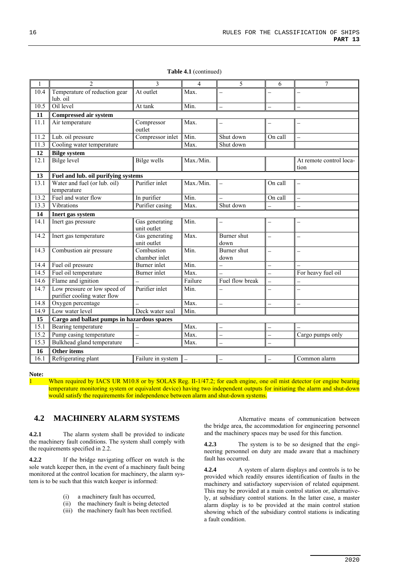| 1    | $\mathfrak{D}$                                              | 3                             | $\overline{\mathbf{4}}$  | 5                        | 6                        | $\overline{7}$                  |
|------|-------------------------------------------------------------|-------------------------------|--------------------------|--------------------------|--------------------------|---------------------------------|
| 10.4 | Temperature of reduction gear                               | At outlet                     | Max.                     | $\overline{\phantom{0}}$ |                          |                                 |
|      | lub. oil                                                    |                               |                          |                          |                          |                                 |
| 10.5 | Oil level                                                   | At tank                       | Min.                     | $\overline{\phantom{0}}$ | $\equiv$                 |                                 |
| 11   | <b>Compressed air system</b>                                |                               |                          |                          |                          |                                 |
| 11.1 | Air temperature                                             | Compressor<br>outlet          | Max.                     | $\overline{\phantom{0}}$ | $\overline{\phantom{0}}$ |                                 |
| 11.2 | Lub. oil pressure                                           | Compressor inlet              | Min.                     | Shut down                | On call                  |                                 |
| 11.3 | Cooling water temperature                                   |                               | Max.                     | Shut down                |                          |                                 |
| 12   | <b>Bilge system</b>                                         |                               |                          |                          |                          |                                 |
| 12.1 | <b>Bilge level</b>                                          | Bilge wells                   | Max./Min.                |                          |                          | At remote control loca-<br>tion |
| 13   | Fuel and lub. oil purifying systems                         |                               |                          |                          |                          |                                 |
| 13.1 | Water and fuel (or lub. oil)<br>temperature                 | Purifier inlet                | Max./Min.                | $\overline{\phantom{0}}$ | On call                  |                                 |
| 13.2 | Fuel and water flow                                         | In purifier                   | Min.                     | $\overline{a}$           | On call                  | $\equiv$                        |
| 13.3 | Vibrations                                                  | Purifier casing               | Max.                     | Shut down                |                          |                                 |
| 14   | Inert gas system                                            |                               |                          |                          |                          |                                 |
| 14.1 | Inert gas pressure                                          | Gas generating<br>unit outlet | Min.                     | $\equiv$                 | $\qquad \qquad -$        |                                 |
| 14.2 | Inert gas temperature                                       | Gas generating<br>unit outlet | Max.                     | Burner shut<br>down      | $\overline{a}$           |                                 |
| 14.3 | Combustion air pressure                                     | Combustion<br>chamber inlet   | Min.                     | Burner shut<br>down      | $\equiv$                 |                                 |
| 14.4 | Fuel oil pressure                                           | Burner inlet                  | Min.                     | $\overline{\phantom{0}}$ | $\overline{\phantom{0}}$ |                                 |
| 14.5 | Fuel oil temperature                                        | Burner inlet                  | Max.                     | $\overline{a}$           | $\overline{a}$           | For heavy fuel oil              |
| 14.6 | Flame and ignition                                          |                               | Failure                  | Fuel flow break          | $\overline{a}$           |                                 |
| 14.7 | Low pressure or low speed of<br>purifier cooling water flow | Purifier inlet                | Min.                     | $\overline{\phantom{0}}$ | $\overline{\phantom{0}}$ | $\overline{\phantom{0}}$        |
| 14.8 | Oxygen percentage                                           | $\overline{a}$                | Max.                     | $\overline{\phantom{0}}$ | $\equiv$                 | $\overline{\phantom{0}}$        |
| 14.9 | Low water level                                             | Deck water seal               | Min.                     |                          |                          |                                 |
| 15   | Cargo and ballast pumps in hazardous spaces                 |                               |                          |                          |                          |                                 |
| 15.1 | Bearing temperature                                         | $\overline{a}$                | Max.                     | $\overline{\phantom{0}}$ | $\overline{\phantom{0}}$ |                                 |
| 15.2 | Pump casing temperature                                     | $\overline{a}$                | Max.                     | $\overline{\phantom{0}}$ |                          | Cargo pumps only                |
| 15.3 | Bulkhead gland temperature                                  | $\overline{a}$                | Max.                     | $\overline{a}$           | $\frac{1}{2}$            |                                 |
| 16   | Other items                                                 |                               |                          |                          |                          |                                 |
| 16.1 | Refrigerating plant                                         | Failure in system             | $\overline{\phantom{a}}$ | $\overline{\phantom{0}}$ | $\qquad \qquad -$        | Common alarm                    |

**Table 4.1** (continued)

#### **Note:**

1 When required by IACS UR M10.8 or by SOLAS Reg. II-1/47.2; for each engine, one oil mist detector (or engine bearing temperature monitoring system or equivalent device) having two independent outputs for initiating the alarm and shut-down would satisfy the requirements for independence between alarm and shut-down systems.

#### **4.2 MACHINERY ALARM SYSTEMS**

**4.2.1** The alarm system shall be provided to indicate the machinery fault conditions. The system shall comply with the requirements specified in 2.2.

**4.2.2** If the bridge navigating officer on watch is the sole watch keeper then, in the event of a machinery fault being monitored at the control location for machinery, the alarm system is to be such that this watch keeper is informed:

- (i) a machinery fault has occurred,
- (ii) the machinery fault is being detected
- (iii) the machinery fault has been rectified.

Alternative means of communication between the bridge area, the accommodation for engineering personnel and the machinery spaces may be used for this function.

**4.2.3** The system is to be so designed that the engineering personnel on duty are made aware that a machinery fault has occurred.

**4.2.4** A system of alarm displays and controls is to be provided which readily ensures identification of faults in the machinery and satisfactory supervision of related equipment. This may be provided at a main control station or, alternatively, at subsidiary control stations. In the latter case, a master alarm display is to be provided at the main control station showing which of the subsidiary control stations is indicating a fault condition.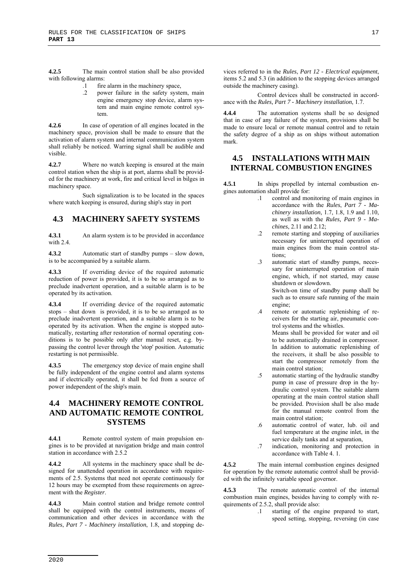**4.2.5** The main control station shall be also provided with following alarms:

- .1 fire alarm in the machinery space,
- .2 power failure in the safety system, main engine emergency stop device, alarm system and main engine remote control system.

**4.2.6** In case of operation of all engines located in the machinery space, provision shall be made to ensure that the activation of alarm system and internal communication system shall reliably be noticed. Warring signal shall be audible and visible.

**4.2.7** Where no watch keeping is ensured at the main control station when the ship is at port, alarms shall be provided for the machinery at work, fire and critical level in bilges in machinery space.

Such signalization is to be located in the spaces where watch keeping is ensured, during ship's stay in port

## **4.3 MACHINERY SAFETY SYSTEMS**

**4.3.1** An alarm system is to be provided in accordance with 2.4.

**4.3.2** Automatic start of standby pumps – slow down, is to be accompanied by a suitable alarm.

**4.3.3** If overriding device of the required automatic reduction of power is provided, it is to be so arranged as to preclude inadvertent operation, and a suitable alarm is to be operated by its activation.

**4.3.4** If overriding device of the required automatic stops – shut down is provided, it is to be so arranged as to preclude inadvertent operation, and a suitable alarm is to be operated by its activation. When the engine is stopped automatically, restarting after restoration of normal operating conditions is to be possible only after manual reset, e.g. bypassing the control lever through the 'stop' position. Automatic restarting is not permissible.

The emergency stop device of main engine shall be fully independent of the engine control and alarm systems and if electrically operated, it shall be fed from a source of power independent of the ship's main.

## **4.4 MACHINERY REMOTE CONTROL AND AUTOMATIC REMOTE CONTROL SYSTEMS**

**4.4.1** Remote control system of main propulsion engines is to be provided at navigation bridge and main control station in accordance with 2.5.2

**4.4.2** All systems in the machinery space shall be designed for unattended operation in accordance with requirements of 2.5. Systems that need not operate continuously for 12 hours may be exempted from these requirements on agreement with the *Register*.

**4.4.3** Main control station and bridge remote control shall be equipped with the control instruments, means of communication and other devices in accordance with the *Rules*, *Part 7 - Machinery installation*, 1.8, and stopping devices referred to in the *Rules*, *Part 12 - Electrical equipment*, items 5.2 and 5.3 (in addition to the stopping devices arranged outside the machinery casing).

Control devices shall be constructed in accordance with the *Rules, Part 7 - Machinery installation*, 1.7.

**4.4.4** The automation systems shall be so designed that in case of any failure of the system, provisions shall be made to ensure local or remote manual control and to retain the safety degree of a ship as on ships without automation mark.

#### **4.5 INSTALLATIONS WITH MAIN INTERNAL COMBUSTION ENGINES**

**4.5.1** In ships propelled by internal combustion engines automation shall provide for:

- .1 control and monitoring of main engines in accordance with the *Rules*, *Part 7 - Machinery installation*, 1.7, 1.8, 1.9 and 1.10, as well as with the *Rules, Part 9 - Machines*, 2.11 and 2.12;
- .2 remote starting and stopping of auxiliaries necessary for uninterrupted operation of main engines from the main control stations;
- .3 automatic start of standby pumps, necessary for uninterrupted operation of main engine, which, if not started, may cause shutdown or slowdown.

Switch-on time of standby pump shall be such as to ensure safe running of the main engine;

.4 remote or automatic replenishing of receivers for the starting air, pneumatic control systems and the whistles.

Means shall be provided for water and oil to be automatically drained in compressor. In addition to automatic replenishing of the receivers, it shall be also possible to start the compressor remotely from the main control station;

- .5 automatic starting of the hydraulic standby pump in case of pressure drop in the hydraulic control system. The suitable alarm operating at the main control station shall be provided. Provision shall be also made for the manual remote control from the main control station;
- .6 automatic control of water, lub. oil and fuel temperature at the engine inlet, in the service daily tanks and at separation,
- .7 indication, monitoring and protection in accordance with Table 4. 1.

**4.5.2** The main internal combustion engines designed for operation by the remote automatic control shall be provided with the infinitely variable speed governor.

**4.5.3** The remote automatic control of the internal combustion main engines, besides having to comply with requirements of 2.5.2, shall provide also:

> .1 starting of the engine prepared to start, speed setting, stopping, reversing (in case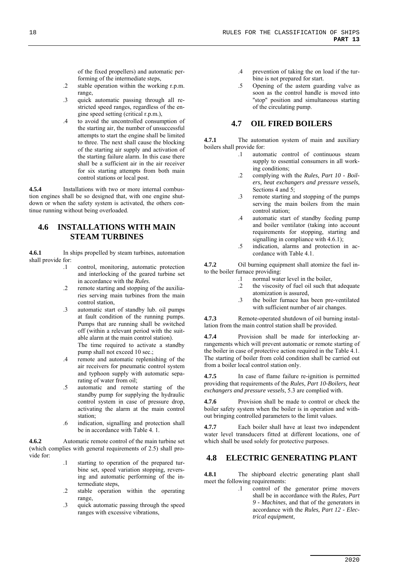of the fixed propellers) and automatic performing of the intermediate steps,

- .2 stable operation within the working r.p.m. range,
- .3 quick automatic passing through all restricted speed ranges, regardless of the engine speed setting (critical r.p.m.),
- .4 to avoid the uncontrolled consumption of the starting air, the number of unsuccessful attempts to start the engine shall be limited to three. The next shall cause the blocking of the starting air supply and activation of the starting failure alarm. In this case there shall be a sufficient air in the air receiver for six starting attempts from both main control stations or local post.

**4.5.4** Installations with two or more internal combustion engines shall be so designed that, with one engine shutdown or when the safety system is activated, the others continue running without being overloaded.

## **4.6 INSTALLATIONS WITH MAIN STEAM TURBINES**

**4.6.1** In ships propelled by steam turbines, automation shall provide for:

- .1 control, monitoring, automatic protection and interlocking of the geared turbine set in accordance with the *Rules*.
- remote starting and stopping of the auxiliaries serving main turbines from the main control station,
- .3 automatic start of standby lub. oil pumps at fault condition of the running pumps. Pumps that are running shall be switched off (within a relevant period with the suitable alarm at the main control station).

The time required to activate a standby pump shall not exceed 10 sec.;

- .4 remote and automatic replenishing of the air receivers for pneumatic control system and typhoon supply with automatic separating of water from oil;
- .5 automatic and remote starting of the standby pump for supplying the hydraulic control system in case of pressure drop, activating the alarm at the main control station;
- .6 indication, signalling and protection shall be in accordance with Table 4. 1.

**4.6.2** Automatic remote control of the main turbine set (which complies with general requirements of 2.5) shall provide for:

- .1 starting to operation of the prepared turbine set, speed variation stopping, reversing and automatic performing of the intermediate steps,
- .2 stable operation within the operating range,
- .3 quick automatic passing through the speed ranges with excessive vibrations,
- .4 prevention of taking the on load if the turbine is not prepared for start.
- .5 Opening of the astern guarding valve as soon as the control handle is moved into "stop" position and simultaneous starting of the circulating pump.

#### **4.7 OIL FIRED BOILERS**

**4.7.1** The automation system of main and auxiliary boilers shall provide for:

- .1 automatic control of continuous steam supply to essential consumers in all working conditions;
- .2 complying with the *Rules, Part 10 Boilers, heat exchangers and pressure vessels*, Sections 4 and 5;
- .3 remote starting and stopping of the pumps serving the main boilers from the main control station;
- .4 automatic start of standby feeding pump and boiler ventilator (taking into account requirements for stopping, starting and signalling in compliance with 4.6.1);
- .5 indication, alarms and protection in accordance with Table 4.1.

**4.7.2** Oil burning equipment shall atomize the fuel into the boiler furnace providing:

- .1 normal water level in the boiler,
- .2 the viscosity of fuel oil such that adequate atomization is assured,
- .3 the boiler furnace has been pre-ventilated with sufficient number of air changes.

**4.7.3** Remote-operated shutdown of oil burning installation from the main control station shall be provided.

**4.7.4** Provision shall be made for interlocking arrangements which will prevent automatic or remote starting of the boiler in case of protective action required in the Table 4.1. The starting of boiler from cold condition shall be carried out from a boiler local control station only.

**4.7.5** In case of flame failure re-ignition is permitted providing that requirements of the *Rules*, *Part 10-Boilers, heat exchangers and pressure vessels*, 5.3 are complied with.

**4.7.6** Provision shall be made to control or check the boiler safety system when the boiler is in operation and without bringing controlled parameters to the limit values.

**4.7.7** Each boiler shall have at least two independent water level transducers fitted at different locations, one of which shall be used solely for protective purposes.

#### **4.8 ELECTRIC GENERATING PLANT**

**4.8.1** The shipboard electric generating plant shall meet the following requirements:

.1 control of the generator prime movers shall be in accordance with the *Rules, Part 9 - Machines*, and that of the generators in accordance with the *Rules, Part 12 - Electrical equipment*,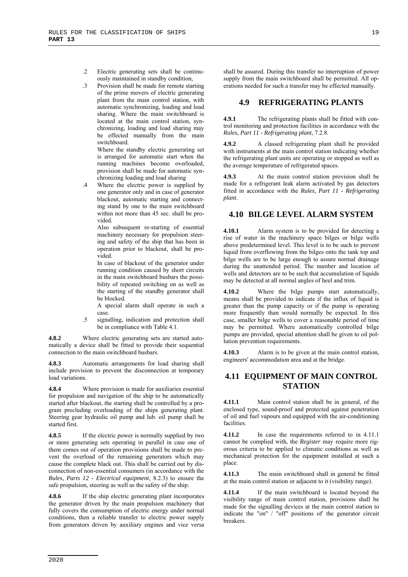- .2 Electric generating sets shall be continuously maintained in standby condition,
- .3 Provision shall be made for remote starting of the prime movers of electric generating plant from the main control station, with automatic synchronizing, loading and load sharing. Where the main switchboard is located at the main control station, synchronizing, loading and load sharing may be effected manually from the main switchboard.

Where the standby electric generating set is arranged for automatic start when the running machines become overloaded, provision shall be made for automatic synchronizing loading and load sharing

.4 Where the electric power is supplied by one generator only and in case of generator blackout, automatic starting and connecting stand by one to the main switchboard within not more than 45 sec. shall be provided.

> Also subsequent re-starting of essential machinery necessary for propulsion steering and safety of the ship that has been in operation prior to blackout, shall be provided.

> In case of blackout of the generator under running condition caused by short circuits in the main switchboard busbars the possibility of repeated switching on as well as the starting of the standby generator shall be blocked.

> A special alarm shall operate in such a case.

.5 signalling, indication and protection shall be in compliance with Table 4.1.

**4.8.2** Where electric generating sets are started automatically a device shall be fitted to provide their sequential connection to the main switchboard busbars.

**4.8.3** Automatic arrangements for load sharing shall include provision to prevent the disconnection at temporary load variations.

**4.8.4** Where provision is made for auxiliaries essential for propulsion and navigation of the ship to be automatically started after blackout, the starting shall be controlled by a program precluding overloading of the ships generating plant. Steering gear hydraulic oil pump and lub. oil pump shall be started first.

**4.8.5** If the electric power is normally supplied by two or more generating sets operating in parallel in case one of them comes out of operation provisions shall be made to prevent the overload of the remaining generators which may cause the complete black out. This shall be carried out by disconnection of non-essential consumers (in accordance with the *Rules*, *Parts 12 - Electrical equipment*, 8.2.3) to ensure the safe propulsion, steering as well as the safety of the ship.

**4.8.6** If the ship electric generating plant incorporates the generator driven by the main propulsion machinery that fully covers the consumption of electric energy under normal conditions, then a reliable transfer to electric power supply from generators driven by auxiliary engines and vice versa shall be assured. During this transfer no interruption of power supply from the main switchboard shall be permitted. All operations needed for such a transfer may be effected manually.

#### **4.9 REFRIGERATING PLANTS**

**4.9.1** The refrigerating plants shall be fitted with control monitoring and protection facilities in accordance with the *Rules, Part 11 - Refrigerating plant*, 7.2.8.

**4.9.2** A classed refrigerating plant shall be provided with instruments at the main control station indicating whether the refrigerating plant units are operating or stopped as well as the average temperature of refrigerated spaces.

At the main control station provision shall be made for a refrigerant leak alarm activated by gas detectors fitted in accordance with the *Rules, Part 11 - Refrigerating plant*.

#### **4.10 BILGE LEVEL ALARM SYSTEM**

**4.10.1** Alarm system is to be provided for detecting a rise of water in the machinery space bilges or bilge wells above predetermined level. This level is to be such to prevent liquid from overflowing from the bilges onto the tank top and bilge wells are to be large enough to assure normal drainage during the unattended period. The number and location of wells and detectors are to be such that accumulation of liquids may be detected at all normal angles of heel and trim.

**4.10.2** Where the bilge pumps start automatically, means shall be provided to indicate if the influx of liquid is greater than the pump capacity or if the pump is operating more frequently than would normally be expected. In this case, smaller bilge wells to cover a reasonable period of time may be permitted. Where automatically controlled bilge pumps are provided, special attention shall be given to oil pollution prevention requirements.

**4.10.3** Alarm is to be given at the main control station, engineers' accommodation area and at the bridge.

#### **4.11 EQUIPMENT OF MAIN CONTROL STATION**

**4.11.1** Main control station shall be in general, of the enclosed type, sound-proof and protected against penetration of oil and fuel vapours and equipped with the air-conditioning facilities.

**4.11.2** In case the requirements referred to in 4.11.1 cannot be complied with, the *Register* may require more rigorous criteria to be applied to climatic conditions as well as mechanical protection for the equipment installed at such a place.

**4.11.3** The main switchboard shall in general be fitted at the main control station or adjacent to it (visibility range).

**4.11.4** If the main switchboard is located beyond the visibility range of main control station, provisions shall be made for the signalling devices at the main control station to indicate the "on" / "off" positions of' the generator circuit breakers.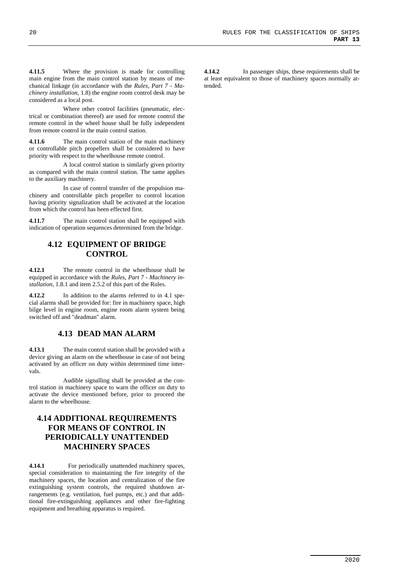**4.11.5** Where the provision is made for controlling main engine from the main control station by means of mechanical linkage (in accordance with the *Rules, Part 7 - Machinery installation*, 1.8) the engine room control desk may be considered as a local post.

Where other control facilities (pneumatic, electrical or combination thereof) are used for remote control the remote control in the wheel house shall be fully independent from remote control in the main control station.

**4.11.6** The main control station of the main machinery or controllable pitch propellers shall be considered to have priority with respect to the wheelhouse remote control.

A local control station is similarly given priority as compared with the main control station. The same applies to the auxiliary machinery.

In case of control transfer of the propulsion machinery and controllable pitch propeller to control location having priority signalization shall be activated at the location from which the control has been effected first.

**4.11.7** The main control station shall be equipped with indication of operation sequences determined from the bridge.

#### **4.12 EQUIPMENT OF BRIDGE CONTROL**

**4.12.1** The remote control in the wheelhouse shall be equipped in accordance with the *Rules, Part 7 - Machinery installation*, 1.8.1 and item 2.5.2 of this part of the Rules.

**4.12.2** In addition to the alarms referred to in 4.1 special alarms shall be provided for: fire in machinery space, high bilge level in engine room, engine room alarm system being switched off and "deadman" alarm.

#### **4.13 DEAD MAN ALARM**

**4.13.1** The main control station shall be provided with a device giving an alarm on the wheelhouse in case of not being activated by an officer on duty within determined time intervals.

Audible signalling shall be provided at the control station in machinery space to warn the officer on duty to activate the device mentioned before, prior to proceed the alarm to the wheelhouse.

## **4.14 ADDITIONAL REQUIREMENTS FOR MEANS OF CONTROL IN PERIODICALLY UNATTENDED MACHINERY SPACES**

**4.14.1** For periodically unattended machinery spaces, special consideration to maintaining the fire integrity of the machinery spaces, the location and centralization of the fire extinguishing system controls, the required shutdown arrangements (e.g. ventilation, fuel pumps, etc.) and that additional fire-extinguishing appliances and other fire-fighting equipment and breathing apparatus is required.

**4.14.2** In passenger ships, these requirements shall be at least equivalent to those of machinery spaces normally attended.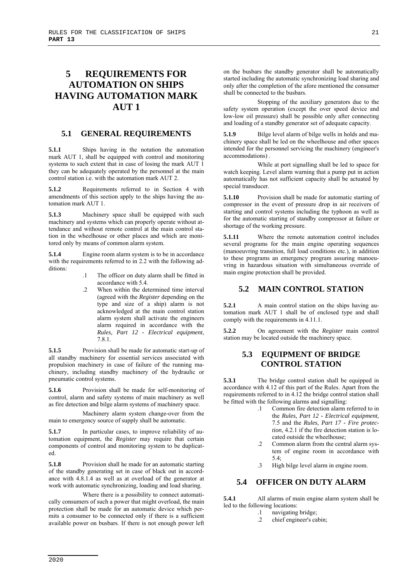# **5 REQUIREMENTS FOR AUTOMATION ON SHIPS HAVING AUTOMATION MARK AUT 1**

#### **5.1 GENERAL REQUIREMENTS**

**5.1.1** Ships having in the notation the automation mark AUT 1, shall be equipped with control and monitoring systems to such extent that in case of losing the mark AUT 1 they can be adequately operated by the personnel at the main control station i.e. with the automation mark AUT 2.

**5.1.2** Requirements referred to in Section 4 with amendments of this section apply to the ships having the automation mark AUT 1.

**5.1.3** Machinery space shall be equipped with such machinery and systems which can properly operate without attendance and without remote control at the main control station in the wheelhouse or other places and which are monitored only by means of common alarm system.

**5.1.4** Engine room alarm system is to be in accordance with the requirements referred to in 2.2 with the following additions:

- .1 The officer on duty alarm shall be fitted in accordance with 5.4.
- .2 When within the determined time interval (agreed with the *Register* depending on the type and size of a ship) alarm is not acknowledged at the main control station alarm system shall activate the engineers alarm required in accordance with the *Rules, Part 12 - Electrical equipment*, 7.8.1.

**5.1.5** Provision shall be made for automatic start-up of all standby machinery for essential services associated with propulsion machinery in case of failure of the running machinery, including standby machinery of the hydraulic or pneumatic control systems.

**5.1.6** Provision shall be made for self-monitoring of control, alarm and safety systems of main machinery as well as fire detection and bilge alarm systems of machinery space.

Machinery alarm system change-over from the main to emergency source of supply shall be automatic.

**5.1.7** In particular cases, to improve reliability of automation equipment, the *Register* may require that certain components of control and monitoring system to be duplicated.

**5.1.8** Provision shall he made for an automatic starting of the standby generating set in case of black out in accordance with 4.8.1.4 as well as at overload of the generator at work with automatic synchronizing, loading and load sharing.

Where there is a possibility to connect automatically consumers of such a power that might overload, the main protection shall be made for an automatic device which permits a consumer to be connected only if there is a sufficient available power on busbars. If there is not enough power left

on the busbars the standby generator shall be automatically started including the automatic synchronizing load sharing and only after the completion of the afore mentioned the consumer shall be connected to the busbars.

Stopping of the auxiliary generators due to the safety system operation (except the over speed device and low-low oil pressure) shall be possible only after connecting and loading of a standby generator set of adequate capacity.

**5.1.9** Bilge level alarm of bilge wells in holds and machinery space shall be led on the wheelhouse and other spaces intended for the personnel servicing the machinery (engineer's accommodations) .

While at port signalling shall be led to space for watch keeping. Level alarm warning that a pump put in action automatically has not sufficient capacity shall be actuated by special transducer.

**5.1.10** Provision shall be made for automatic starting of compressor in the event of pressure drop in air receivers of starting and control systems including the typhoon as well as for the automatic starting of standby compressor at failure or shortage of the working pressure.

**5.1.11** Where the remote automation control includes several programs for the main engine operating sequences (manoeuvring transition, full load conditions etc.), in addition to these programs an emergency program assuring manoeuvring in hazardous situation with simultaneous override of main engine protection shall be provided.

#### **5.2 MAIN CONTROL STATION**

**5.2.1** A main control station on the ships having automation mark AUT 1 shall be of enclosed type and shall comply with the requirements in 4.11.1.

**5.2.2** On agreement with the *Register* main control station may be located outside the machinery space.

#### **5.3 EQUIPMENT OF BRIDGE CONTROL STATION**

**5.3.1** The bridge control station shall be equipped in accordance with 4.12 of this part of the Rules. Apart from the requirements referred to in 4.12 the bridge control station shall be fitted with the following alarms and signalling:

- .1 Common fire detection alarm referred to in the *Rules, Part 12 - Electrical equipment*, 7.5 and the *Rules, Part 17 - Fire protection*, 4.2.1 if the fire detection station is located outside the wheelhouse;
- .2 Common alarm from the central alarm system of engine room in accordance with 5.4;
- .3 High bilge level alarm in engine room.

#### **5.4 OFFICER ON DUTY ALARM**

**5.4.1** All alarms of main engine alarm system shall be led to the following locations:

- .1 navigating bridge;
- .2 chief engineer's cabin;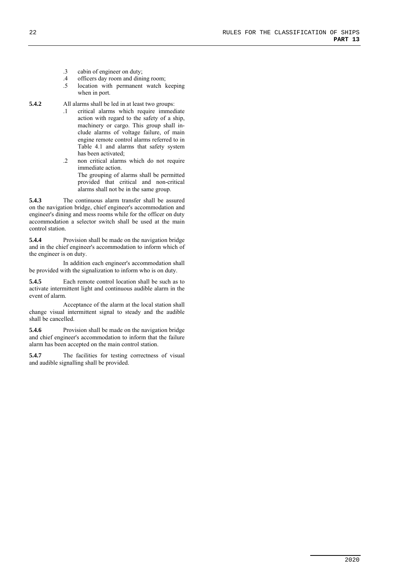- .3 cabin of engineer on duty;
- .4 officers day room and dining room;
- location with permanent watch keeping when in port.
- **5.4.2** All alarms shall be led in at least two groups:
	- .1 critical alarms which require immediate action with regard to the safety of a ship, machinery or cargo. This group shall include alarms of voltage failure, of main engine remote control alarms referred to in Table 4.1 and alarms that safety system has been activated;
	- .2 non critical alarms which do not require immediate action. The grouping of alarms shall be permitted provided that critical and non-critical alarms shall not be in the same group.

**5.4.3** The continuous alarm transfer shall be assured on the navigation bridge, chief engineer's accommodation and engineer's dining and mess rooms while for the officer on duty accommodation a selector switch shall be used at the main control station.

**5.4.4** Provision shall be made on the navigation bridge and in the chief engineer's accommodation to inform which of the engineer is on duty.

In addition each engineer's accommodation shall be provided with the signalization to inform who is on duty.

**5.4.5** Each remote control location shall be such as to activate intermittent light and continuous audible alarm in the event of alarm.

Acceptance of the alarm at the local station shall change visual intermittent signal to steady and the audible shall be cancelled.

**5.4.6** Provision shall be made on the navigation bridge and chief engineer's accommodation to inform that the failure alarm has been accepted on the main control station.

**5.4.7** The facilities for testing correctness of visual and audible signalling shall be provided.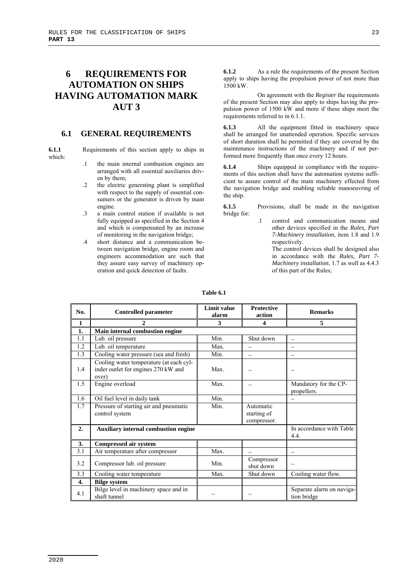# **6 REQUIREMENTS FOR AUTOMATION ON SHIPS HAVING AUTOMATION MARK AUT 3**

#### **6.1 GENERAL REQUIREMENTS**

**6.1.1** Requirements of this section apply to ships in which:

- .1 the main internal combustion engines are arranged with all essential auxiliaries driven by them;
- .2 the electric generating plant is simplified with respect to the supply of essential consumers or the generator is driven by main engine.
- .3 a main control station if available is not fully equipped as specified in the Section 4 and which is compensated by an increase of monitoring in the navigation bridge;
- .4 short distance and a communication between navigation bridge, engine room and engineers accommodation are such that they assure easy survey of machinery operation and quick detection of faults.

**6.1.2** As a rule the requirements of the present Section apply to ships having the propulsion power of not more than 1500 kW.

On agreement with the *Register* the requirements of the present Section may also apply to ships having the propulsion power of 1500 kW and more if these ships meet the requirements referred to in 6.1.1.

**6.1.3** All the equipment fitted in machinery space shall be arranged for unattended operation. Specific services of short duration shall he permitted if they are covered by the maintenance instructions of the machinery and if not performed more frequently than once every 12 hours.

**6.1.4** Ships equipped in compliance with the requirements of this section shall have the automation systems sufficient to assure control of the main machinery effected from the navigation bridge and enabling reliable manoeuvring of the ship.

**6.1.5** Provisions, shall be made in the navigation bridge for:

> .1 control and communication means and other devices specified in the *Rules, Part 7-Machinery installation*, item 1.8 and 1.9 respectively.

> > The control devices shall be designed also in accordance with the *Rules, Part 7- Machinery installation*, 1.7 as well as 4.4.3 of this part of the Rules;

| No.          | <b>Controlled parameter</b>                                                             | <b>Limit value</b><br>alarm | <b>Protective</b><br>action             | <b>Remarks</b>                           |
|--------------|-----------------------------------------------------------------------------------------|-----------------------------|-----------------------------------------|------------------------------------------|
| $\mathbf{1}$ | 2                                                                                       | 3                           | 4                                       | 5                                        |
| 1.           | Main internal combustion engine                                                         |                             |                                         |                                          |
| 1.1          | Lub. oil pressure                                                                       | Min.                        | Shut down                               |                                          |
| 1.2          | Lub. oil temperature                                                                    | Max.                        |                                         |                                          |
| 1.3          | Cooling water pressure (sea and fresh)                                                  | Min.                        |                                         |                                          |
| 1.4          | Cooling water temperature (at each cyl-<br>inder outlet for engines 270 kW and<br>over) | Max.                        |                                         |                                          |
| 1.5          | Engine overload                                                                         | Max.                        |                                         | Mandatory for the CP-<br>propellers.     |
| 1.6          | Oil fuel level in daily tank                                                            | Min.                        |                                         |                                          |
| 1.7          | Pressure of starting air and pneumatic<br>control system                                | Min.                        | Automatic<br>starting of<br>compressor. |                                          |
| 2.           | <b>Auxiliary internal combustion engine</b>                                             |                             |                                         | In accordance with Table<br>4.4.         |
| 3.           | <b>Compressed air system</b>                                                            |                             |                                         |                                          |
| 3.1          | Air temperature after compressor                                                        | Max.                        |                                         | $\overline{\phantom{0}}$                 |
| 3.2          | Compressor lub. oil pressure                                                            | Min.                        | Compressor<br>shut down                 |                                          |
| 3.3          | Cooling water temperature                                                               | Max.                        | Shut down                               | Cooling water flow.                      |
| 4.           | <b>Bilge system</b>                                                                     |                             |                                         |                                          |
| 4.1          | Bilge level in machinery space and in<br>shaft tunnel                                   |                             |                                         | Separate alarm on naviga-<br>tion bridge |

#### **Table 6.1**